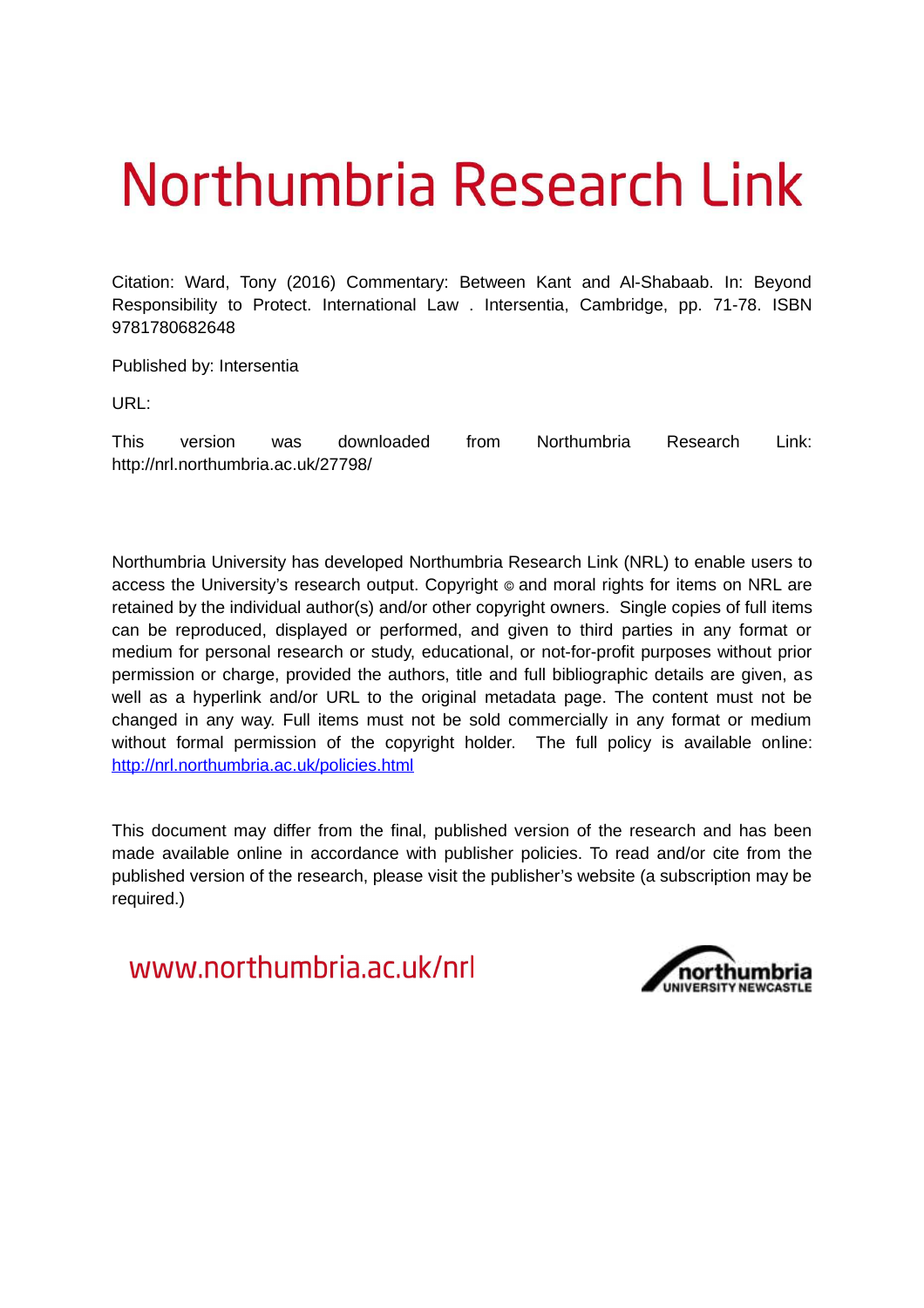# Northumbria Research Link

Citation: Ward, Tony (2016) Commentary: Between Kant and Al-Shabaab. In: Beyond Responsibility to Protect. International Law . Intersentia, Cambridge, pp. 71-78. ISBN 9781780682648

Published by: Intersentia

URL:

This version was downloaded from Northumbria Research Link: http://nrl.northumbria.ac.uk/27798/

Northumbria University has developed Northumbria Research Link (NRL) to enable users to access the University's research output. Copyright  $\circ$  and moral rights for items on NRL are retained by the individual author(s) and/or other copyright owners. Single copies of full items can be reproduced, displayed or performed, and given to third parties in any format or medium for personal research or study, educational, or not-for-profit purposes without prior permission or charge, provided the authors, title and full bibliographic details are given, as well as a hyperlink and/or URL to the original metadata page. The content must not be changed in any way. Full items must not be sold commercially in any format or medium without formal permission of the copyright holder. The full policy is available online: <http://nrl.northumbria.ac.uk/policies.html>

This document may differ from the final, published version of the research and has been made available online in accordance with publisher policies. To read and/or cite from the published version of the research, please visit the publisher's website (a subscription may be required.)

www.northumbria.ac.uk/nrl

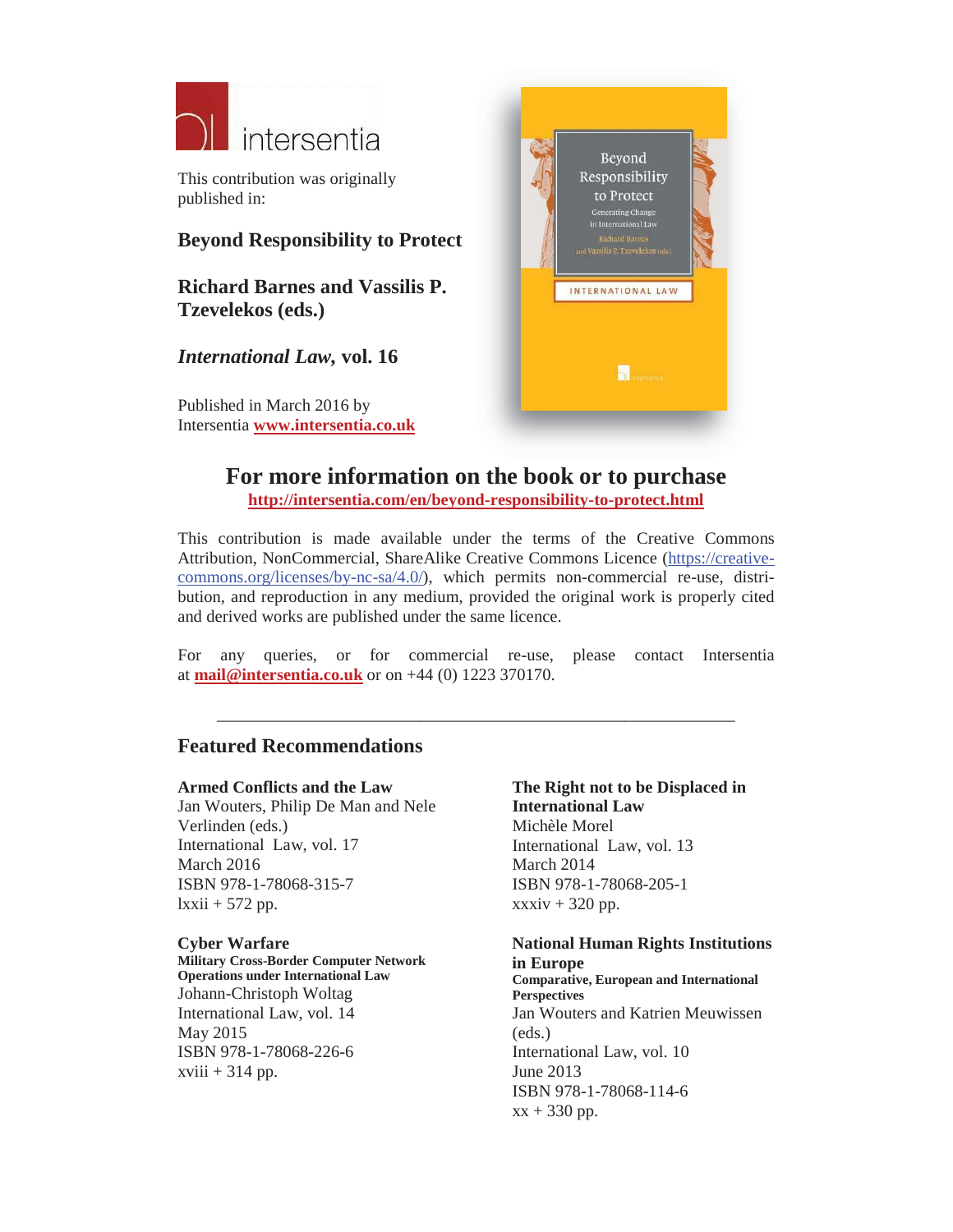

This contribution was originally published in:

### **Beyond Responsibility to Protect**

**Richard Barnes and Vassilis P. Tzevelekos (eds.)**

*International Law,* **vol. 16**

Published in March 2016 by Intersentia **www.intersentia.co.uk**



## **For more information on the book or to purchase http://intersentia.com/en/beyond-responsibility-to-protect.html**

This contribution is made available under the terms of the Creative Commons Attribution, NonCommercial, ShareAlike Creative Commons Licence (https://creativecommons.org/licenses/by-nc-sa/4.0/), which permits non-commercial re-use, distribution, and reproduction in any medium, provided the original work is properly cited and derived works are published under the same licence.

For any queries, or for commercial re-use, please contact Intersentia at **mail@intersentia.co.uk** or on +44 (0) 1223 370170.

\_\_\_\_\_\_\_\_\_\_\_\_\_\_\_\_\_\_\_\_\_\_\_\_\_\_\_\_\_\_\_\_\_\_\_\_\_\_\_\_\_\_\_\_\_\_\_\_\_\_\_\_\_\_\_\_\_\_\_\_\_

#### **Featured Recommendations**

#### **Armed Conflicts and the Law**

Jan Wouters, Philip De Man and Nele Verlinden (eds.) International Law, vol. 17 March 2016 ISBN 978-1-78068-315-7  $lxxii + 572$  pp.

#### **Cyber Warfare**

**Military Cross-Border Computer Network Operations under International Law** Johann-Christoph Woltag International Law, vol. 14 May 2015 ISBN 978-1-78068-226-6  $xviii + 314$  pp.

**The Right not to be Displaced in International Law** Michèle Morel International Law, vol. 13 March 2014 ISBN 978-1-78068-205-1  $xxxiv + 320$  pp.

**National Human Rights Institutions in Europe Comparative, European and International Perspectives** Jan Wouters and Katrien Meuwissen (eds.) International Law, vol. 10 June 2013 ISBN 978-1-78068-114-6

 $xx + 330$  pp.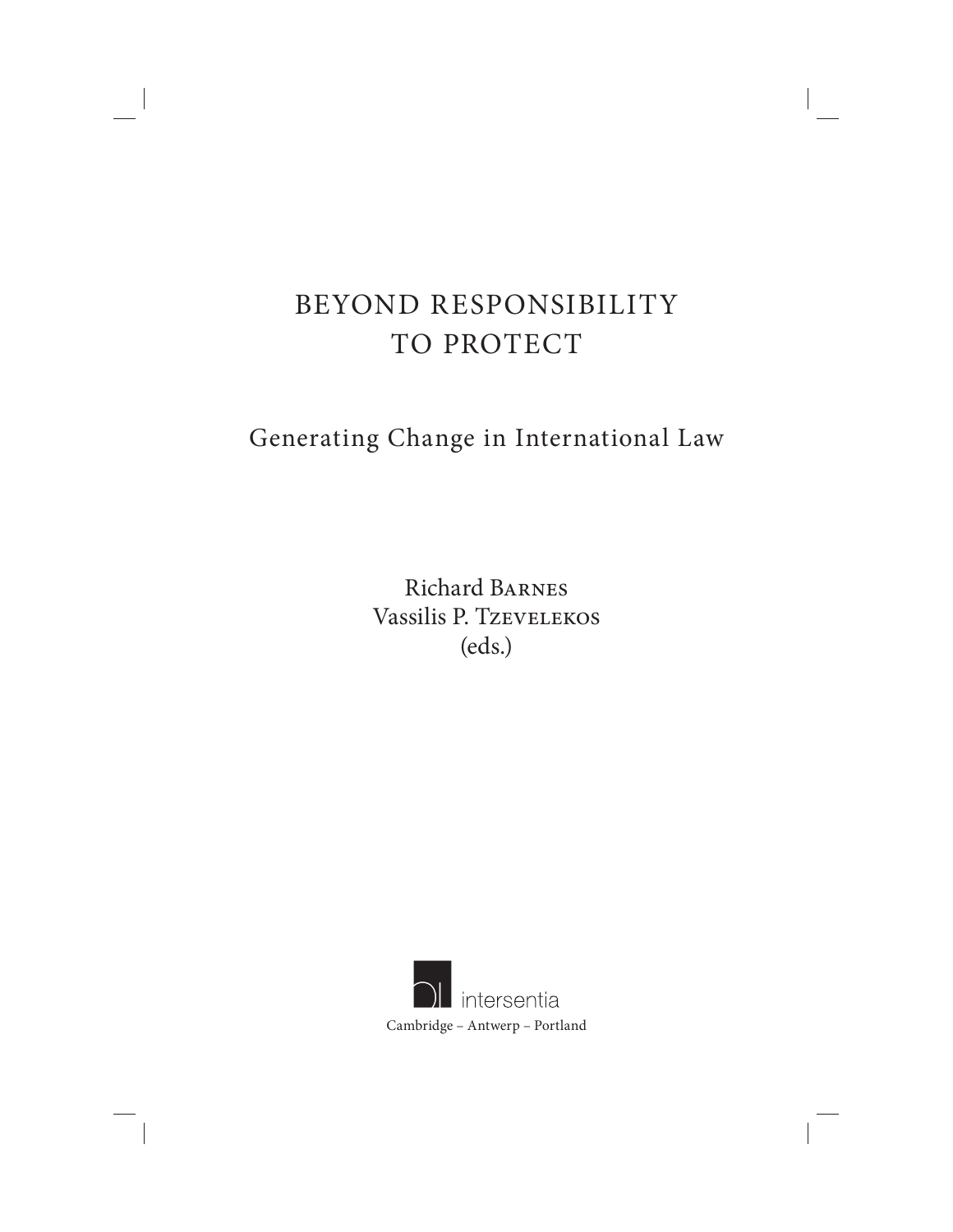# BEYOND RESPONSIBILITY TO PROTECT

# Generating Change in International Law

Richard Barnes Vassilis P. Tzevelekos (eds.)

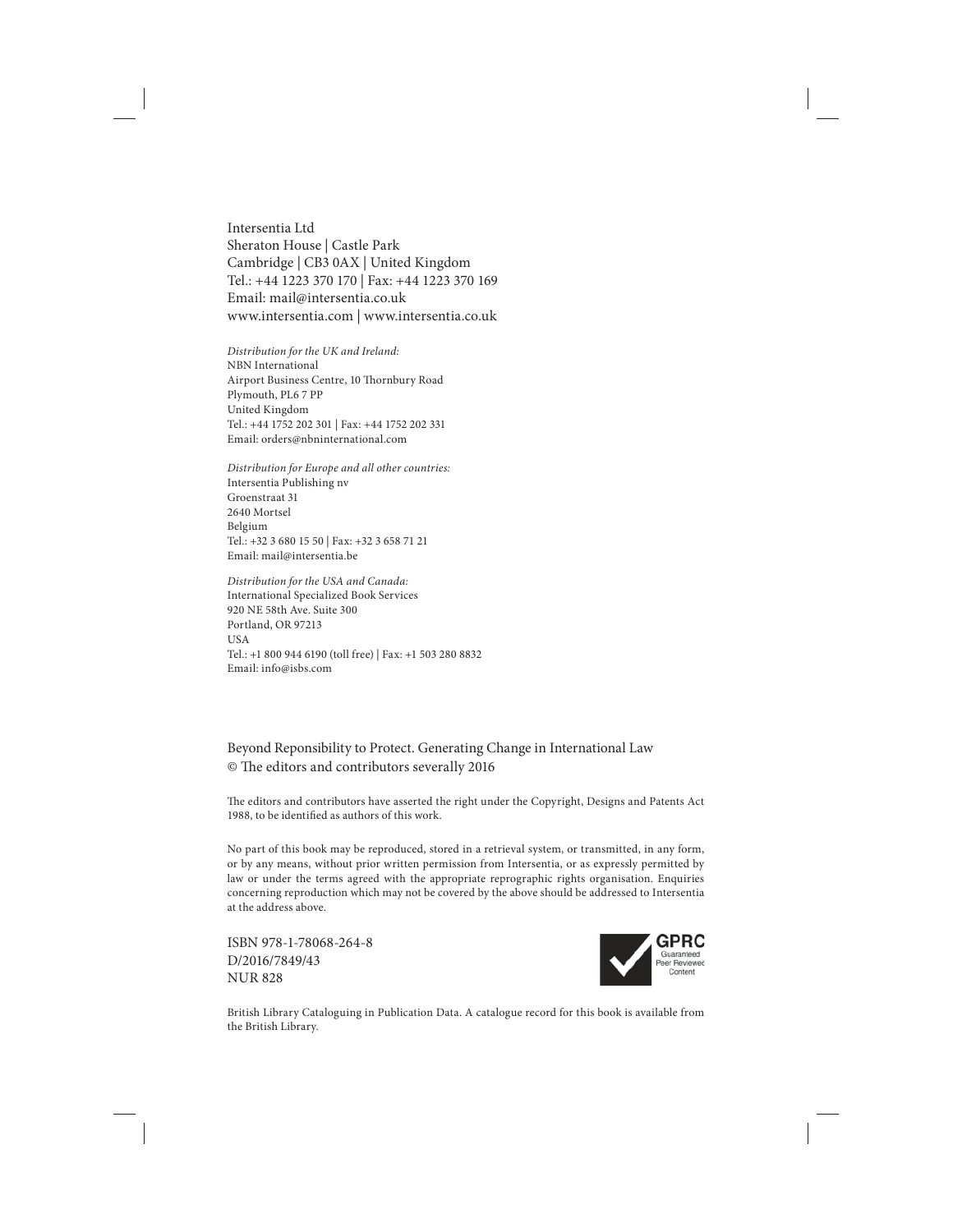Intersentia Ltd Sheraton House | Castle Park Cambridge | CB3 0AX | United Kingdom Tel.: +44 1223 370 170 | Fax: +44 1223 370 169 Email: mail@intersentia.co.uk www.intersentia.com | www.intersentia.co.uk

Distribution for the UK and Ireland: NBN International Airport Business Centre, 10 Thornbury Road Plymouth, PL6 7 PP United Kingdom Tel.: +44 1752 202 301 | Fax: +44 1752 202 331 Email: orders@nbninternational.com

Distribution for Europe and all other countries: Intersentia Publishing nv Groenstraat 31 2640 Mortsel Belgium Tel.: +32 3 680 15 50 | Fax: +32 3 658 71 21 Email: mail@intersentia.be

Distribution for the USA and Canada: International Specialized Book Services 920 NE 58th Ave. Suite 300 Portland, OR 97213 **USA** Tel.: +1 800 944 6190 (toll free) | Fax: +1 503 280 8832 Email: info@isbs.com

Beyond Reponsibility to Protect. Generating Change in International Law © The editors and contributors severally 2016

The editors and contributors have asserted the right under the Copyright, Designs and Patents Act 1988, to be identified as authors of this work.

No part of this book may be reproduced, stored in a retrieval system, or transmitted, in any form, or by any means, without prior written permission from Intersentia, or as expressly permitted by law or under the terms agreed with the appropriate reprographic rights organisation. Enquiries concerning reproduction which may not be covered by the above should be addressed to Intersentia at the address above.

ISBN 978-1-78068-264-8 D/2016/7849/43 NUR 828



British Library Cataloguing in Publication Data. A catalogue record for this book is available from the British Library.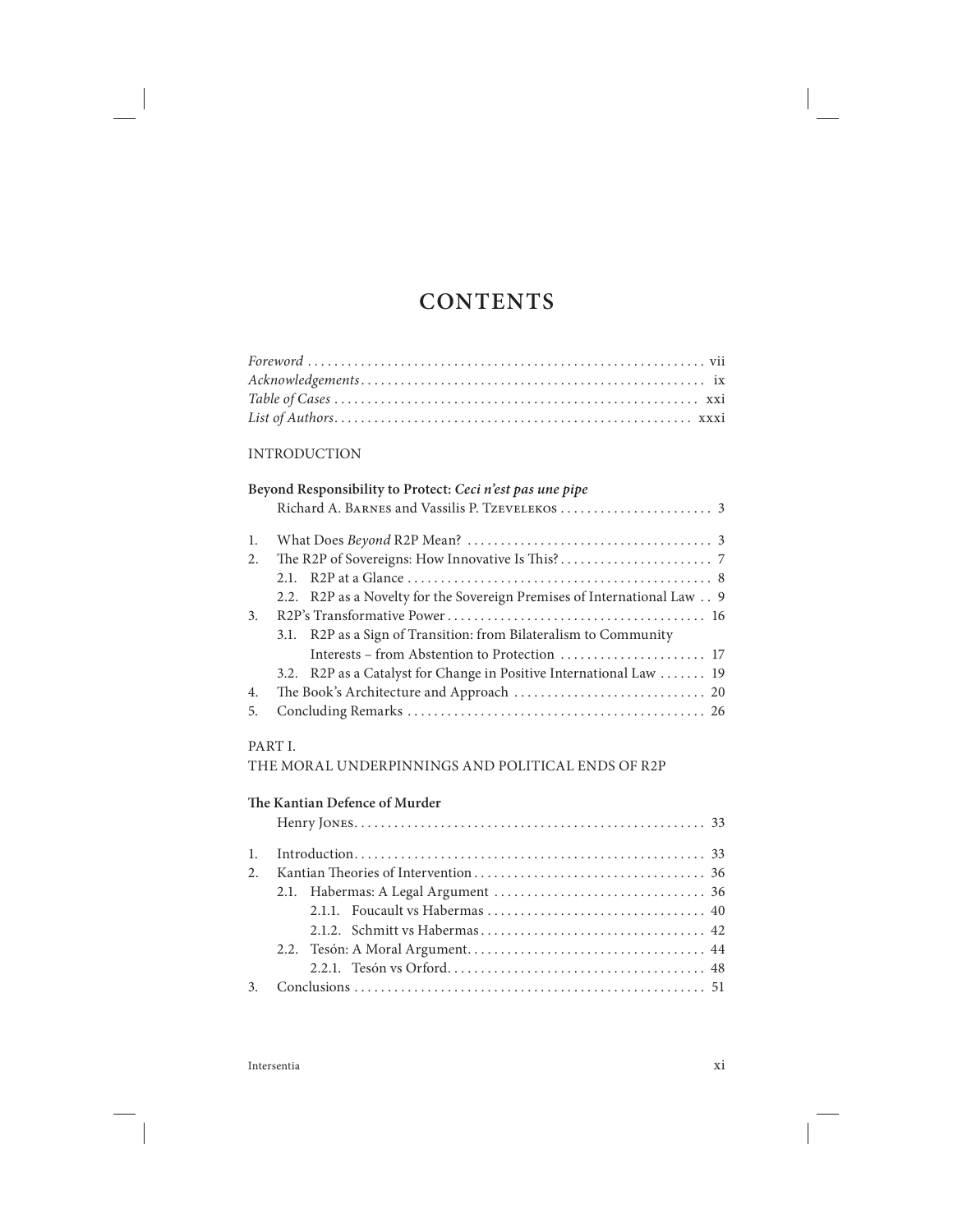# **CONTENTS**

#### INTRODUCTION

|    | Beyond Responsibility to Protect: Ceci n'est pas une pipe               |
|----|-------------------------------------------------------------------------|
|    |                                                                         |
| 1. |                                                                         |
| 2. |                                                                         |
|    |                                                                         |
|    | 2.2. R2P as a Novelty for the Sovereign Premises of International Law 9 |
| 3. |                                                                         |
|    | 3.1. R2P as a Sign of Transition: from Bilateralism to Community        |
|    |                                                                         |
|    | 3.2. R2P as a Catalyst for Change in Positive International Law  19     |
| 4. |                                                                         |
| 5. |                                                                         |

#### PART I.

THE MORAL UNDERPINNINGS AND POLITICAL ENDS OF R2P

#### The Kantian Defence of Murder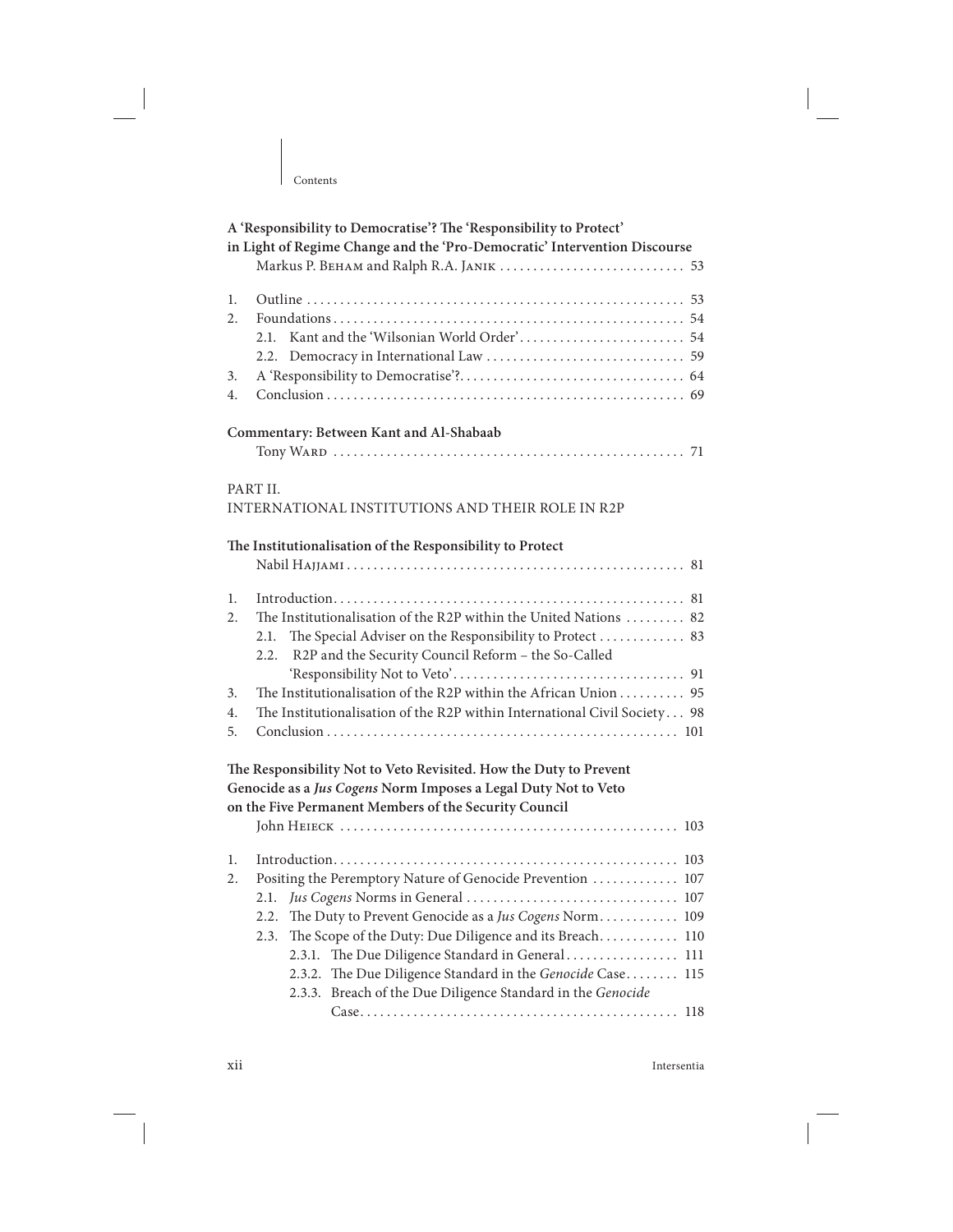| Contents                                                                                                                                                                                                                                                                                                                                                                                            |
|-----------------------------------------------------------------------------------------------------------------------------------------------------------------------------------------------------------------------------------------------------------------------------------------------------------------------------------------------------------------------------------------------------|
| A 'Responsibility to Democratise'? The 'Responsibility to Protect'<br>in Light of Regime Change and the 'Pro-Democratic' Intervention Discourse                                                                                                                                                                                                                                                     |
| 1.<br>2.<br>2.1.<br>2.2.<br>3.<br>4.                                                                                                                                                                                                                                                                                                                                                                |
| Commentary: Between Kant and Al-Shabaab                                                                                                                                                                                                                                                                                                                                                             |
| PART II.<br>INTERNATIONAL INSTITUTIONS AND THEIR ROLE IN R2P<br>The Institutionalisation of the Responsibility to Protect                                                                                                                                                                                                                                                                           |
| 1.<br>The Institutionalisation of the R2P within the United Nations  82<br>2.<br>The Special Adviser on the Responsibility to Protect  83<br>2.1.<br>R2P and the Security Council Reform - the So-Called<br>2.2.<br>The Institutionalisation of the R2P within the African Union 95<br>3.<br>The Institutionalisation of the R2P within International Civil Society 98<br>4.<br>5.                  |
| The Responsibility Not to Veto Revisited. How the Duty to Prevent<br>Genocide as a Jus Cogens Norm Imposes a Legal Duty Not to Veto<br>on the Five Permanent Members of the Security Council                                                                                                                                                                                                        |
| 1.<br>Positing the Peremptory Nature of Genocide Prevention  107<br>2.<br>2.1.<br>2.2.<br>The Duty to Prevent Genocide as a Jus Cogens Norm 109<br>The Scope of the Duty: Due Diligence and its Breach 110<br>2.3.<br>2.3.1. The Due Diligence Standard in General 111<br>2.3.2. The Due Diligence Standard in the Genocide Case 115<br>2.3.3. Breach of the Due Diligence Standard in the Genocide |

xii Intersentia

 $\begin{array}{c} \hline \end{array}$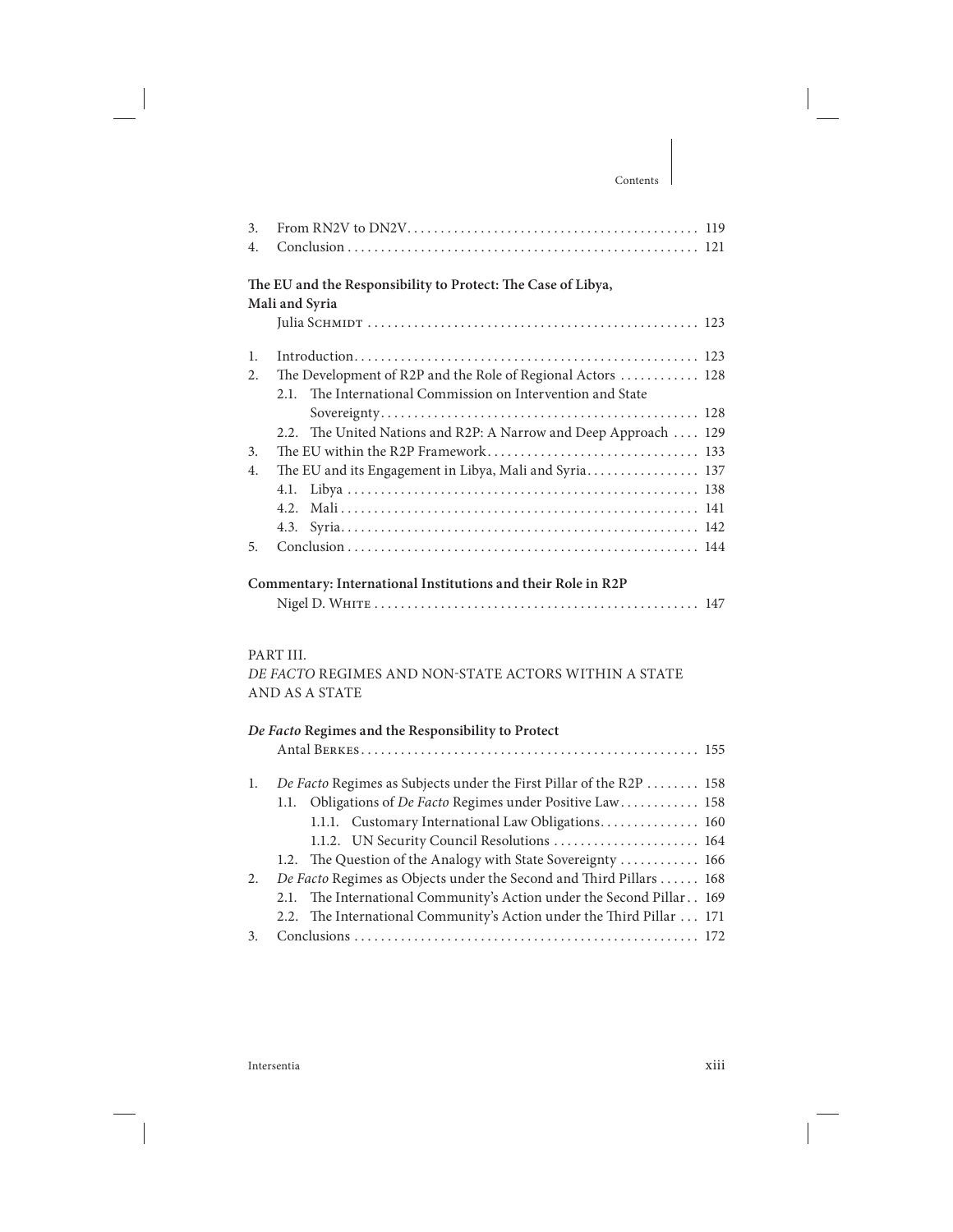| 3.<br>$\overline{4}$ .                                       |                                                                  |  |
|--------------------------------------------------------------|------------------------------------------------------------------|--|
|                                                              | The EU and the Responsibility to Protect: The Case of Libya,     |  |
|                                                              | Mali and Syria                                                   |  |
|                                                              |                                                                  |  |
| $\mathbf{1}$ .                                               |                                                                  |  |
| 2.                                                           | The Development of R2P and the Role of Regional Actors  128      |  |
|                                                              | The International Commission on Intervention and State<br>2.1.   |  |
|                                                              |                                                                  |  |
|                                                              | 2.2. The United Nations and R2P: A Narrow and Deep Approach  129 |  |
| 3.                                                           |                                                                  |  |
| $\overline{4}$ .                                             | The EU and its Engagement in Libya, Mali and Syria 137           |  |
|                                                              | 4.1.                                                             |  |
|                                                              | 42                                                               |  |
|                                                              |                                                                  |  |
| 5.                                                           |                                                                  |  |
| Commentary: International Institutions and their Role in R2P |                                                                  |  |
|                                                              |                                                                  |  |

#### PART III.

DE FACTO REGIMES AND NON-STATE ACTORS WITHIN A STATE AND AS A STATE

|    | De Facto Regimes and the Responsibility to Protect                    |  |
|----|-----------------------------------------------------------------------|--|
|    |                                                                       |  |
| 1. | De Facto Regimes as Subjects under the First Pillar of the R2P  158   |  |
|    | 1.1. Obligations of De Facto Regimes under Positive Law 158           |  |
|    | 1.1.1. Customary International Law Obligations 160                    |  |
|    | 1.1.2. UN Security Council Resolutions  164                           |  |
|    | 1.2. The Question of the Analogy with State Sovereignty  166          |  |
| 2. | De Facto Regimes as Objects under the Second and Third Pillars  168   |  |
|    | 2.1. The International Community's Action under the Second Pillar 169 |  |
|    | 2.2. The International Community's Action under the Third Pillar  171 |  |
| 3. |                                                                       |  |

Intersentia xiii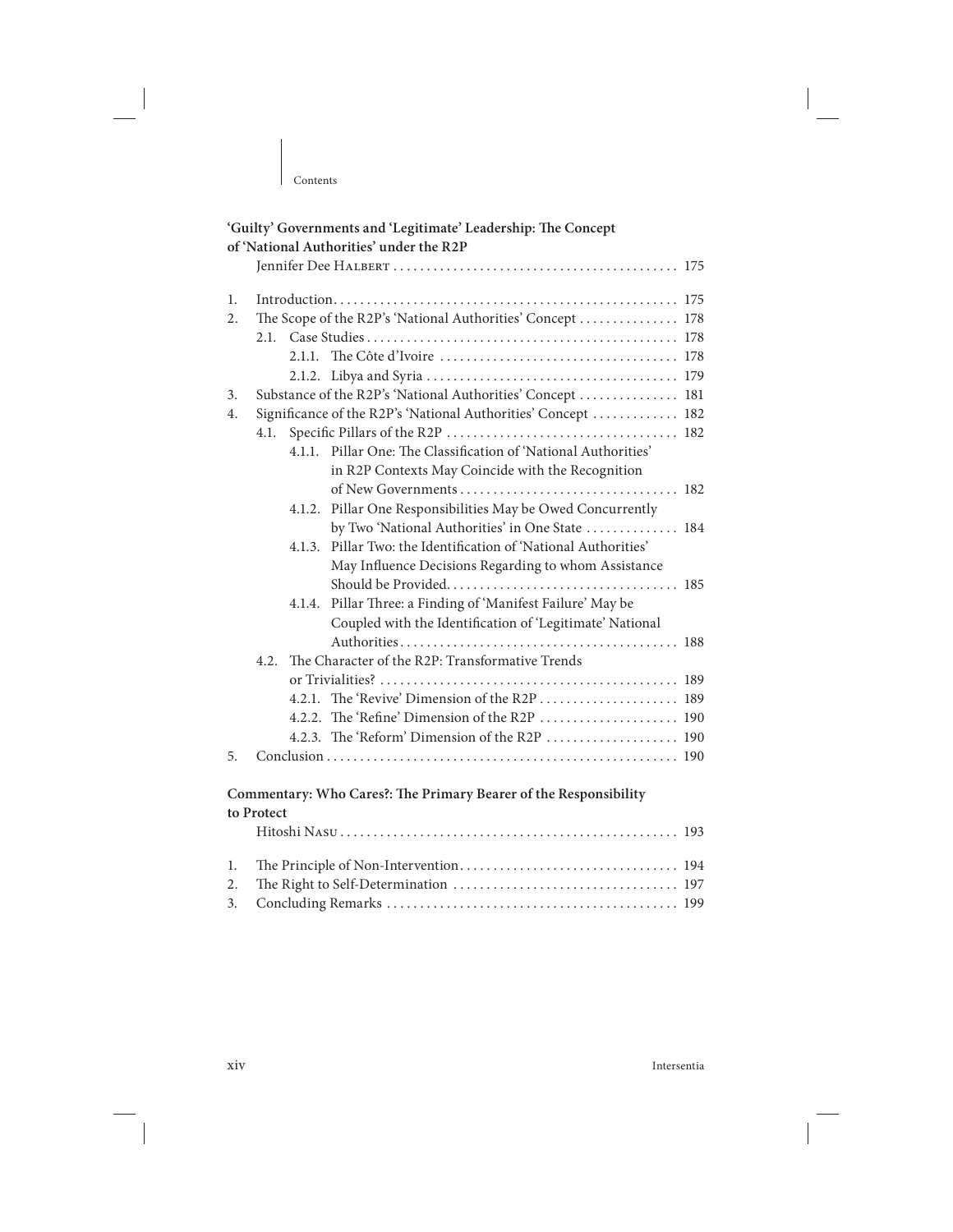| of 'National Authorities' under the R2P<br>1.<br>The Scope of the R2P's 'National Authorities' Concept  178<br>2. |
|-------------------------------------------------------------------------------------------------------------------|
|                                                                                                                   |
|                                                                                                                   |
|                                                                                                                   |
|                                                                                                                   |
|                                                                                                                   |
|                                                                                                                   |
|                                                                                                                   |
| Substance of the R2P's 'National Authorities' Concept  181<br>3.                                                  |
| Significance of the R2P's 'National Authorities' Concept  182<br>4.                                               |
| 4.1.                                                                                                              |
| 4.1.1. Pillar One: The Classification of 'National Authorities'                                                   |
| in R2P Contexts May Coincide with the Recognition                                                                 |
|                                                                                                                   |
| Pillar One Responsibilities May be Owed Concurrently<br>4.1.2.                                                    |
| by Two 'National Authorities' in One State  184                                                                   |
| Pillar Two: the Identification of 'National Authorities'<br>4.1.3.                                                |
| May Influence Decisions Regarding to whom Assistance                                                              |
|                                                                                                                   |
| Pillar Three: a Finding of 'Manifest Failure' May be<br>4.1.4.                                                    |
| Coupled with the Identification of 'Legitimate' National                                                          |
|                                                                                                                   |
| The Character of the R2P: Transformative Trends<br>4.2.                                                           |
|                                                                                                                   |
| 4.2.1. The 'Revive' Dimension of the R2P  189                                                                     |
| 4.2.2. The 'Refine' Dimension of the R2P  190                                                                     |
| 4.2.3. The 'Reform' Dimension of the R2P  190                                                                     |
| 5.                                                                                                                |
|                                                                                                                   |
| Commentary: Who Cares?: The Primary Bearer of the Responsibility                                                  |
| to Protect                                                                                                        |
|                                                                                                                   |
| 1.                                                                                                                |
| 2.                                                                                                                |
| 3.                                                                                                                |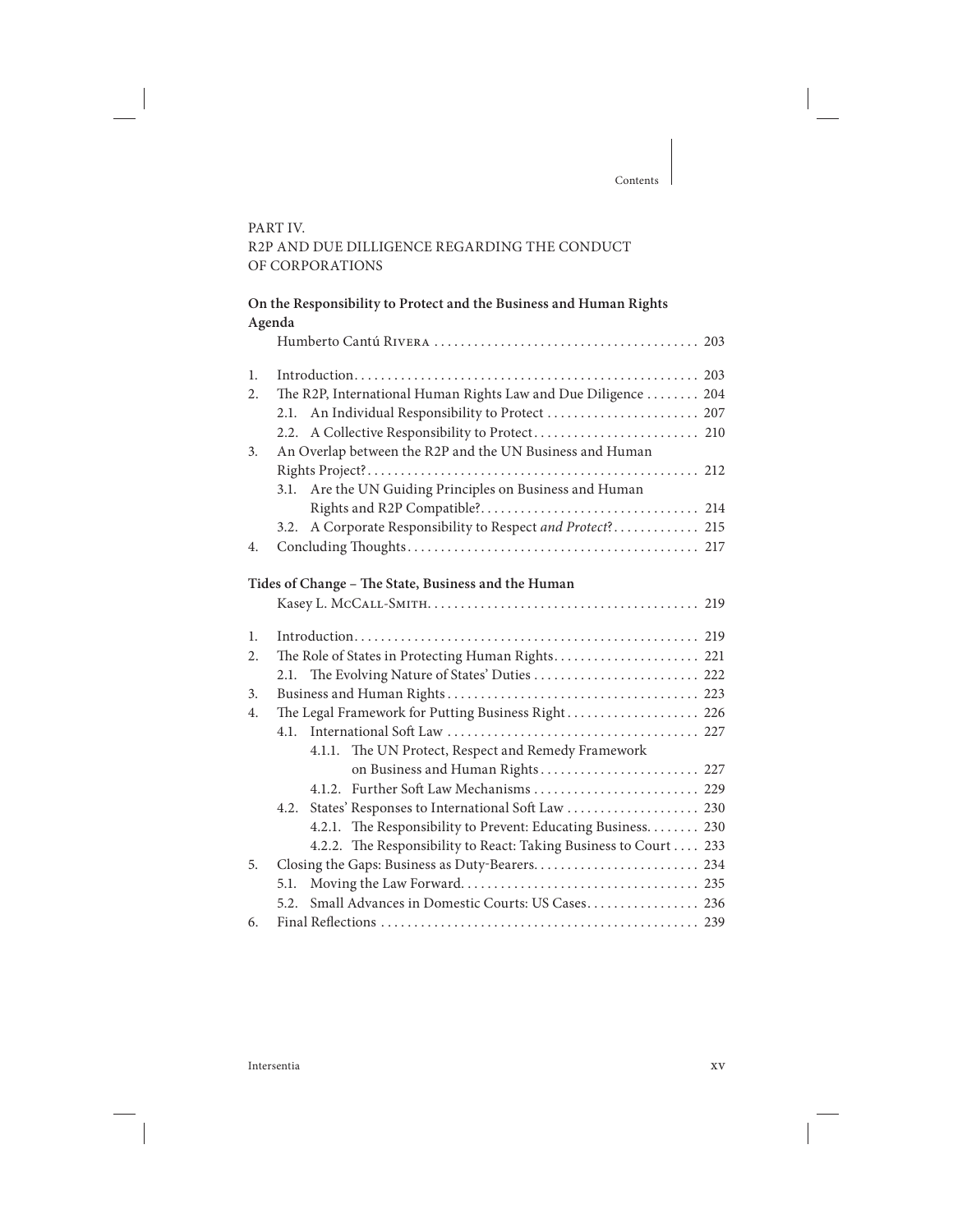#### PART IV. R2P AND DUE DILLIGENCE REGARDING THE CONDUCT OF CORPORATIONS

|    | On the Responsibility to Protect and the Business and Human Rights<br>Agenda |
|----|------------------------------------------------------------------------------|
|    |                                                                              |
| 1. |                                                                              |
| 2. | The R2P, International Human Rights Law and Due Diligence 204                |
|    | 2.1. An Individual Responsibility to Protect  207                            |
|    |                                                                              |
| 3. | An Overlap between the R2P and the UN Business and Human                     |
|    |                                                                              |
|    | 3.1. Are the UN Guiding Principles on Business and Human                     |
|    |                                                                              |
|    | 3.2. A Corporate Responsibility to Respect and Protect? 215                  |
| 4. |                                                                              |
|    |                                                                              |
|    | Tides of Change – The State, Business and the Human                          |
|    |                                                                              |

| 1. |      |                                                                   |
|----|------|-------------------------------------------------------------------|
| 2. |      |                                                                   |
|    |      | 2.1. The Evolving Nature of States' Duties  222                   |
| 3. |      |                                                                   |
| 4. |      | The Legal Framework for Putting Business Right 226                |
|    |      |                                                                   |
|    |      | 4.1.1. The UN Protect, Respect and Remedy Framework               |
|    |      | on Business and Human Rights 227                                  |
|    |      | 4.1.2. Further Soft Law Mechanisms  229                           |
|    |      |                                                                   |
|    |      | 4.2.1. The Responsibility to Prevent: Educating Business. 230     |
|    |      | 4.2.2. The Responsibility to React: Taking Business to Court  233 |
| 5. |      |                                                                   |
|    | 5.1. |                                                                   |
|    |      | 5.2. Small Advances in Domestic Courts: US Cases 236              |
| 6. |      |                                                                   |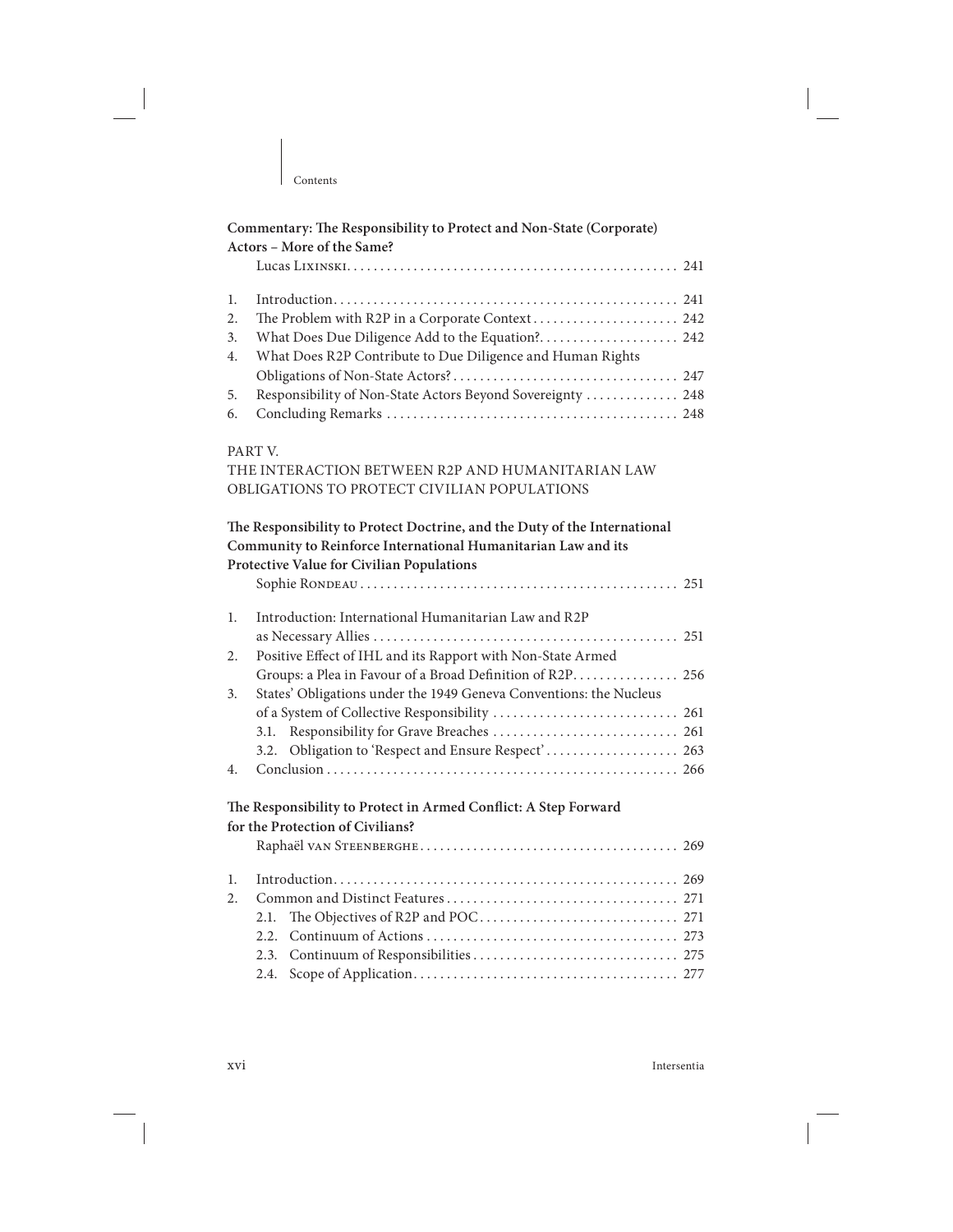|                      | Commentary: The Responsibility to Protect and Non-State (Corporate)<br>Actors - More of the Same?                                                                                              |  |
|----------------------|------------------------------------------------------------------------------------------------------------------------------------------------------------------------------------------------|--|
|                      |                                                                                                                                                                                                |  |
| 1.<br>2.<br>3.<br>4. | The Problem with R2P in a Corporate Context 242<br>What Does Due Diligence Add to the Equation? 242<br>What Does R2P Contribute to Due Diligence and Human Rights                              |  |
| 5.<br>6.             | Responsibility of Non-State Actors Beyond Sovereignty  248                                                                                                                                     |  |
|                      | PART V.<br>THE INTERACTION BETWEEN R2P AND HUMANITARIAN LAW<br>OBLIGATIONS TO PROTECT CIVILIAN POPULATIONS                                                                                     |  |
|                      | The Responsibility to Protect Doctrine, and the Duty of the International<br>Community to Reinforce International Humanitarian Law and its                                                     |  |
|                      | Protective Value for Civilian Populations                                                                                                                                                      |  |
| 1.                   | Introduction: International Humanitarian Law and R2P                                                                                                                                           |  |
| 2.<br>3.             | Positive Effect of IHL and its Rapport with Non-State Armed<br>Groups: a Plea in Favour of a Broad Definition of R2P 256<br>States' Obligations under the 1949 Geneva Conventions: the Nucleus |  |
|                      |                                                                                                                                                                                                |  |
|                      | 3.1.<br>3.2. Obligation to 'Respect and Ensure Respect' 263                                                                                                                                    |  |
| 4.                   |                                                                                                                                                                                                |  |
|                      | The Responsibility to Protect in Armed Conflict: A Step Forward<br>for the Protection of Civilians?                                                                                            |  |
| 1.                   |                                                                                                                                                                                                |  |
| $\overline{2}$ .     |                                                                                                                                                                                                |  |
|                      | 2.1.                                                                                                                                                                                           |  |
|                      | 2.2.<br>2.3.                                                                                                                                                                                   |  |

2.4. Scope of Application . . . . . . . . . . . . . . . . . . . . . . . . . . . . . . . . . . . . . . . . 277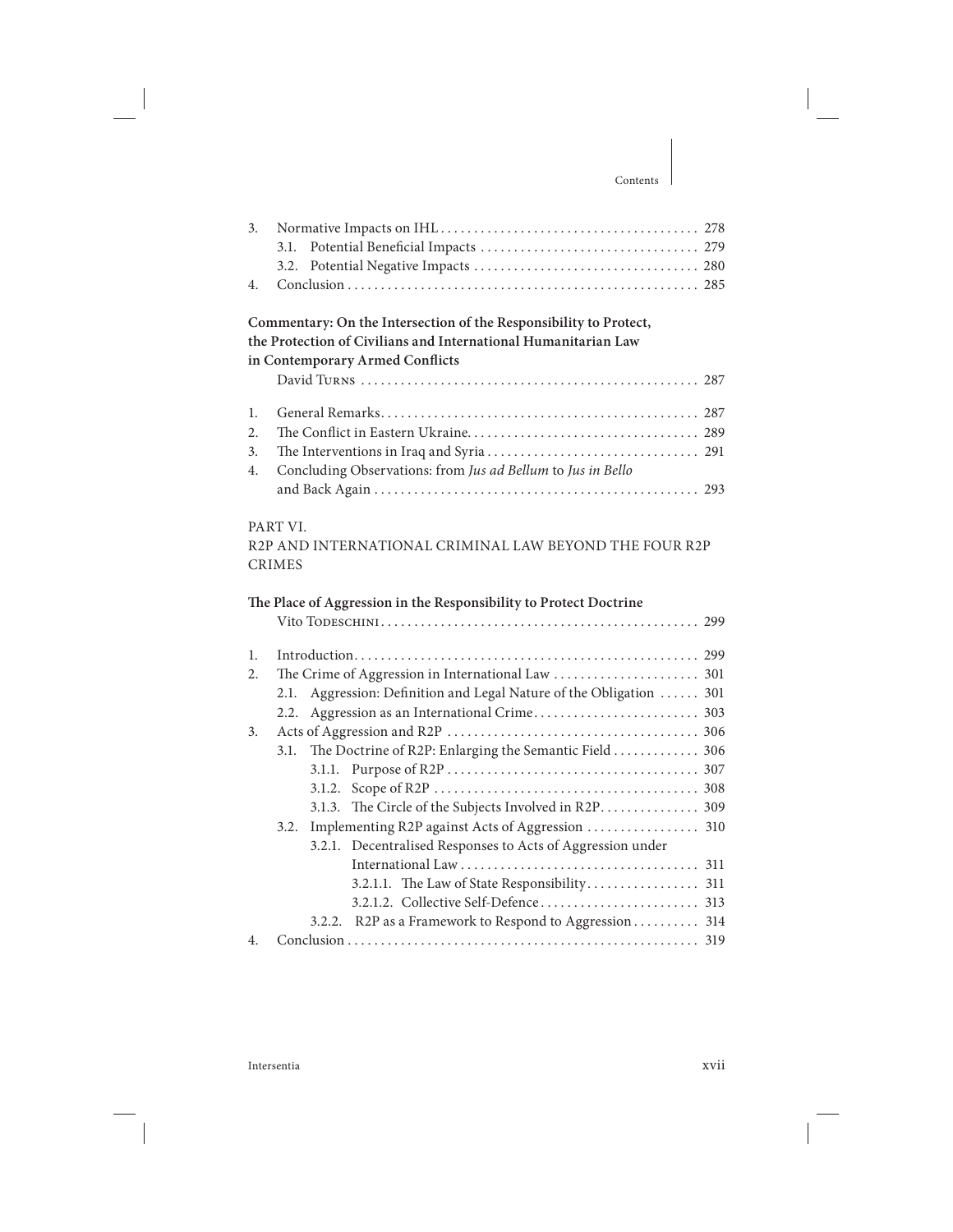| 3.       | 3.1.                                                                                                                                                                   |
|----------|------------------------------------------------------------------------------------------------------------------------------------------------------------------------|
|          | 3.2.                                                                                                                                                                   |
| 4.       |                                                                                                                                                                        |
|          | Commentary: On the Intersection of the Responsibility to Protect,<br>the Protection of Civilians and International Humanitarian Law<br>in Contemporary Armed Conflicts |
|          |                                                                                                                                                                        |
| 1.<br>2. |                                                                                                                                                                        |
| 3.       |                                                                                                                                                                        |
| 4.       | Concluding Observations: from Jus ad Bellum to Jus in Bello                                                                                                            |
|          |                                                                                                                                                                        |
|          |                                                                                                                                                                        |
|          | PART VI.<br>R2P AND INTERNATIONAL CRIMINAL LAW BEYOND THE FOUR R2P                                                                                                     |
|          | <b>CRIMES</b>                                                                                                                                                          |
|          |                                                                                                                                                                        |
|          | The Place of Aggression in the Responsibility to Protect Doctrine                                                                                                      |
|          |                                                                                                                                                                        |
| 1.       |                                                                                                                                                                        |
| 2.       |                                                                                                                                                                        |
|          | Aggression: Definition and Legal Nature of the Obligation  301<br>2.1.                                                                                                 |
|          | 2.2.                                                                                                                                                                   |
| 3.       |                                                                                                                                                                        |
|          | The Doctrine of R2P: Enlarging the Semantic Field 306<br>3.1.                                                                                                          |
|          | 3.1.1.                                                                                                                                                                 |
|          |                                                                                                                                                                        |
|          | 3.1.3. The Circle of the Subjects Involved in R2P 309                                                                                                                  |
|          | 3.2.                                                                                                                                                                   |
|          | Decentralised Responses to Acts of Aggression under<br>3.2.1.                                                                                                          |
|          |                                                                                                                                                                        |
|          |                                                                                                                                                                        |
|          |                                                                                                                                                                        |
|          | 3.2.2. R2P as a Framework to Respond to Aggression 314                                                                                                                 |
| 4.       |                                                                                                                                                                        |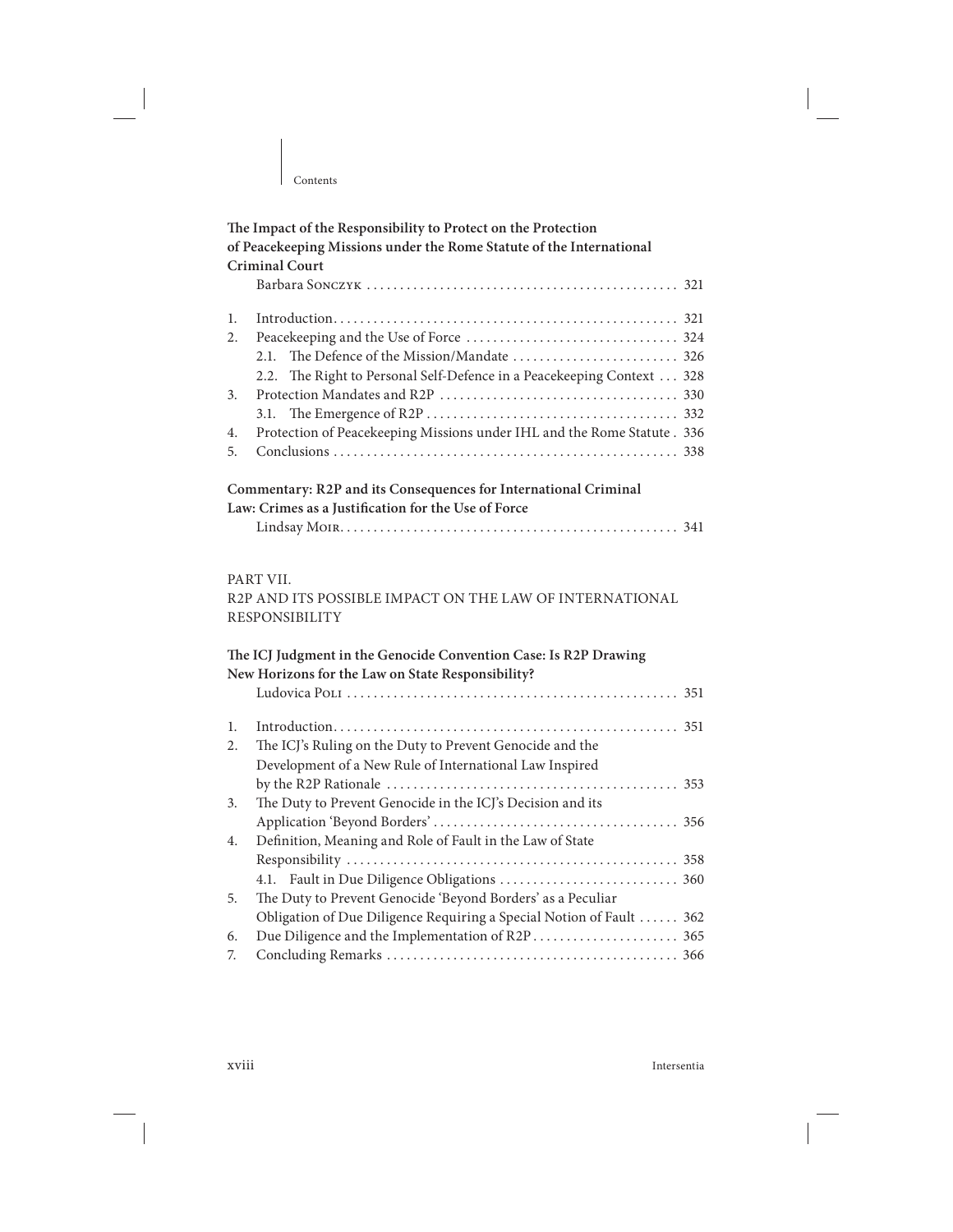|    | The Impact of the Responsibility to Protect on the Protection            |
|----|--------------------------------------------------------------------------|
|    | of Peacekeeping Missions under the Rome Statute of the International     |
|    | <b>Criminal Court</b>                                                    |
|    |                                                                          |
| 1. |                                                                          |
| 2. |                                                                          |
|    | 2.1.                                                                     |
|    | The Right to Personal Self-Defence in a Peacekeeping Context 328<br>2.2. |
| 3. |                                                                          |
|    | 3.1.                                                                     |
| 4. | Protection of Peacekeeping Missions under IHL and the Rome Statute . 336 |
| 5. |                                                                          |
|    | Commentary: R2P and its Consequences for International Criminal          |
|    | Law: Crimes as a Justification for the Use of Force                      |
|    |                                                                          |
|    | PART VII.                                                                |
|    | R2P AND ITS POSSIBLE IMPACT ON THE LAW OF INTERNATIONAL                  |
|    | <b>RESPONSIBILITY</b>                                                    |
|    | The ICJ Judgment in the Genocide Convention Case: Is R2P Drawing         |
|    | New Horizons for the Law on State Responsibility?                        |
|    |                                                                          |
| 1. |                                                                          |
| 2. | The ICJ's Ruling on the Duty to Prevent Genocide and the                 |
|    | Development of a New Rule of International Law Inspired                  |
|    |                                                                          |
| 3. | The Duty to Prevent Genocide in the ICJ's Decision and its               |
|    |                                                                          |
| 4. | Definition, Meaning and Role of Fault in the Law of State                |
|    |                                                                          |
|    |                                                                          |
| 5. | The Duty to Prevent Genocide 'Beyond Borders' as a Peculiar              |
|    | Obligation of Due Diligence Requiring a Special Notion of Fault  362     |
| 6. |                                                                          |
| 7. |                                                                          |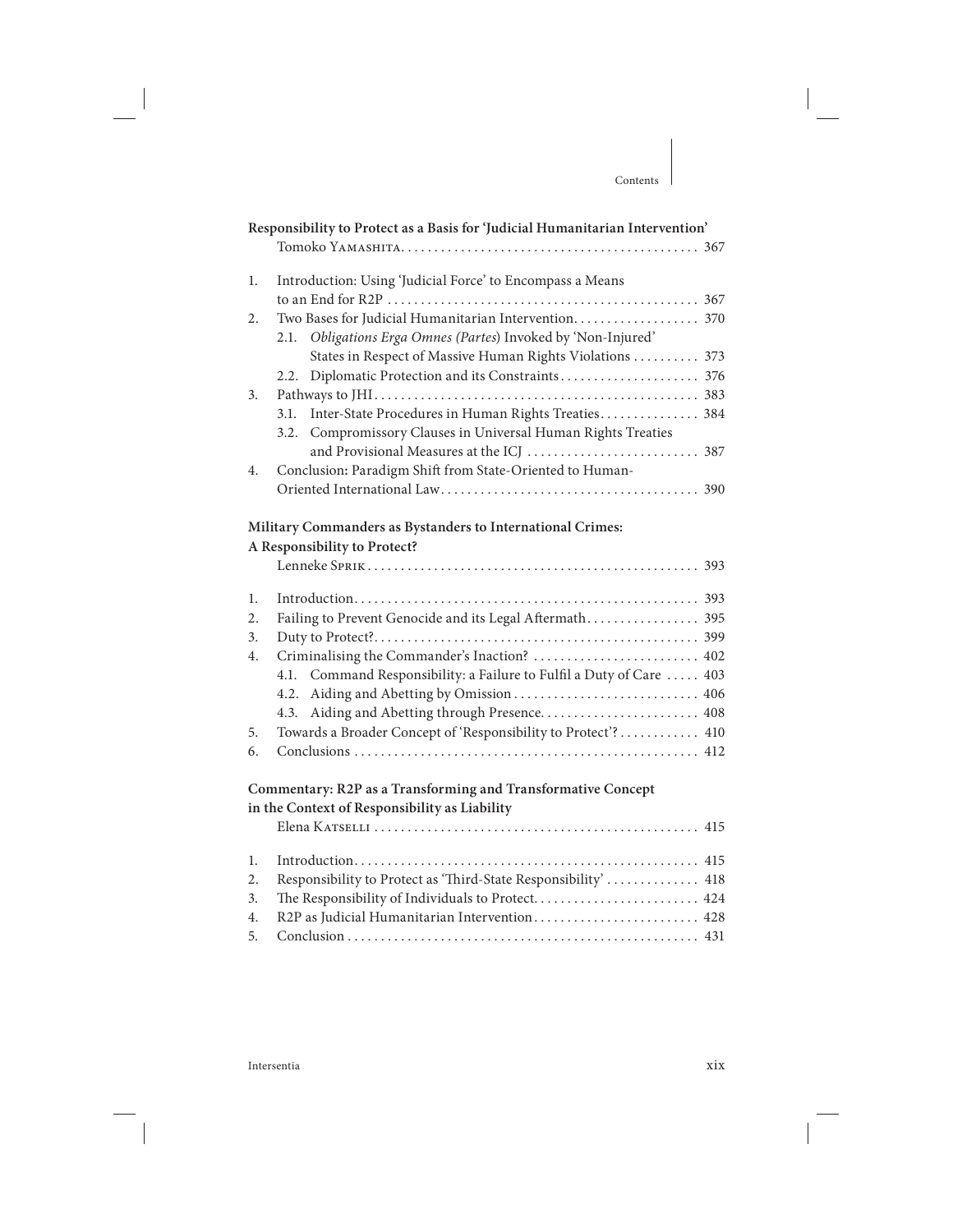#### **Responsibility to Protect as a Basis for 'Judicial Humanitarian Intervention'** Tomoko Yamashita . . . . . . . . . . . . . . . . . . . . . . . . . . . . . . . . . . . . . . . . . . . . . 367 1. Introduction: Using 'Judicial Force' to Encompass a Means to an End for R2P . . . . . . . . . . . . . . . . . . . . . . . . . . . . . . . . . . . . . . . . . . . . . . . 367 2. Two Bases for Judicial Humanitarian Intervention . . . . . . . . . . . . . . . . . . . 370 2.1. Obligations Erga Omnes (Partes) Invoked by 'Non-Injured' States in Respect of Massive Human Rights Violations . . . . . . . . . . 373 2.2. Diplomatic Protection and its Constraints . . . . . . . . . . . . . . . . . . . . . 376 3. Pathways to JHI . . . . . . . . . . . . . . . . . . . . . . . . . . . . . . . . . . . . . . . . . . . . . . . . . 383 3.1. Inter-State Procedures in Human Rights Treaties . . . . . . . . . . . . . . . 384 3.2. Compromissory Clauses in Universal Human Rights Treaties and Provisional Measures at the ICJ .................................. 387 4. Conclusion**:** Paradigm Shit from State-Oriented to Human-Oriented International Law . . . . . . . . . . . . . . . . . . . . . . . . . . . . . . . . . . . . . . . 390

Contents

#### **Military Commanders as Bystanders to International Crimes:**

#### **A Responsibility to Protect?**

| $\mathbf{1}$ . |                                                                      |
|----------------|----------------------------------------------------------------------|
| 2.             | Failing to Prevent Genocide and its Legal Aftermath 395              |
| 3.             |                                                                      |
| 4.             | Criminalising the Commander's Inaction?  402                         |
|                | 4.1. Command Responsibility: a Failure to Fulfil a Duty of Care  403 |
|                |                                                                      |
|                | 4.3. Aiding and Abetting through Presence 408                        |
| 5.             | Towards a Broader Concept of 'Responsibility to Protect'? 410        |
| 6.             |                                                                      |
|                |                                                                      |

#### **Commentary: R2P as a Transforming and Transformative Concept in the Context of Responsibility as Liability**

| 2. Responsibility to Protect as 'Third-State Responsibility'  418 |
|-------------------------------------------------------------------|
|                                                                   |
|                                                                   |
|                                                                   |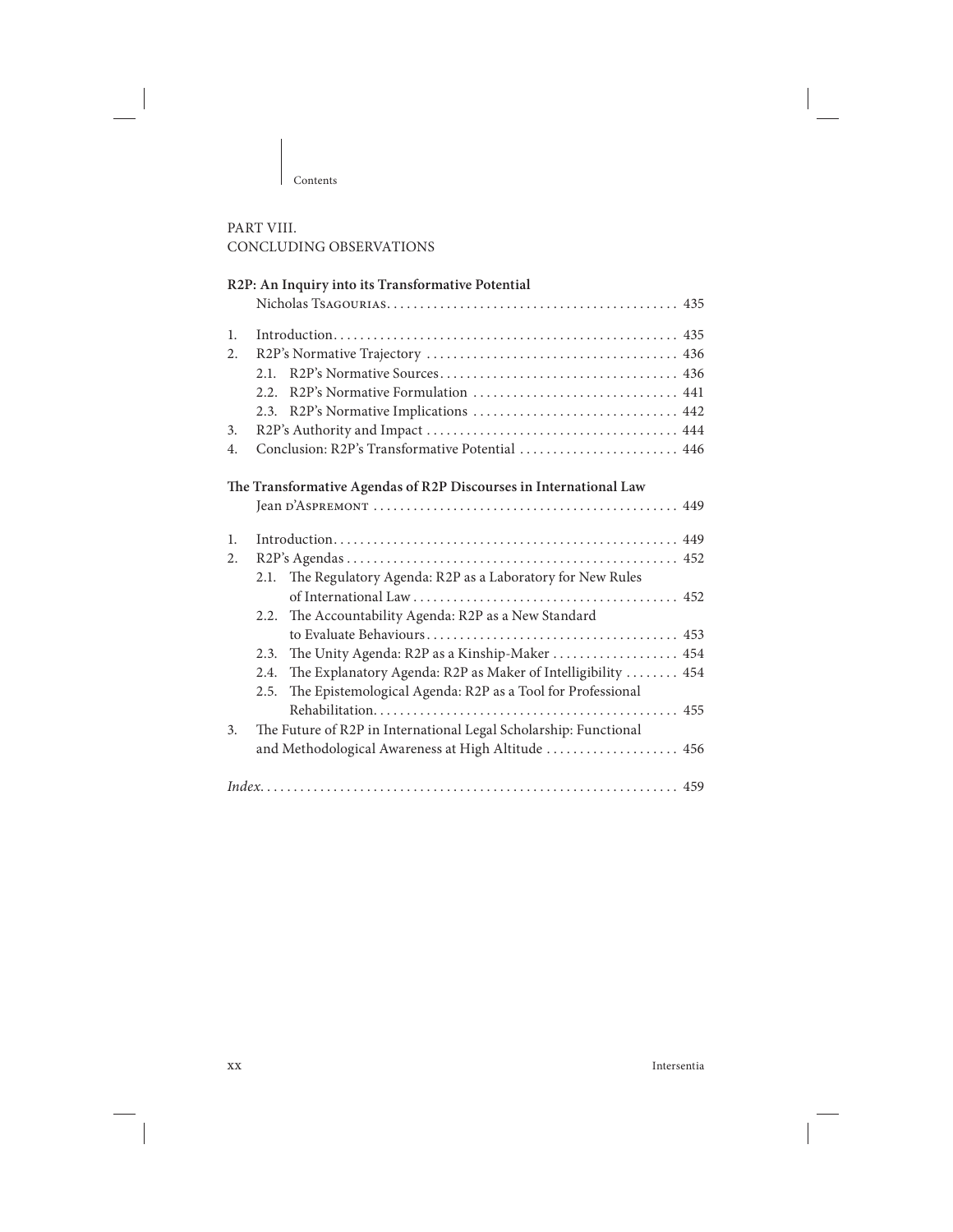#### PART VIII. CONCLUDING OBSERVATIONS

|    | R2P: An Inquiry into its Transformative Potential                    |
|----|----------------------------------------------------------------------|
|    |                                                                      |
| 1. |                                                                      |
| 2. |                                                                      |
|    |                                                                      |
|    | 2.2.                                                                 |
|    |                                                                      |
| 3. |                                                                      |
| 4. | Conclusion: R2P's Transformative Potential  446                      |
|    | The Transformative Agendas of R2P Discourses in International Law    |
|    |                                                                      |
| 1. |                                                                      |
| 2. |                                                                      |
|    | The Regulatory Agenda: R2P as a Laboratory for New Rules<br>2.1.     |
|    |                                                                      |
|    | The Accountability Agenda: R2P as a New Standard<br>2.2.             |
|    |                                                                      |
|    | The Unity Agenda: R2P as a Kinship-Maker  454<br>2.3.                |
|    | The Explanatory Agenda: R2P as Maker of Intelligibility  454<br>2.4. |
|    | The Epistemological Agenda: R2P as a Tool for Professional<br>2.5.   |
|    |                                                                      |
| 3. | The Future of R2P in International Legal Scholarship: Functional     |
|    | and Methodological Awareness at High Altitude  456                   |
|    |                                                                      |

xx Intersentia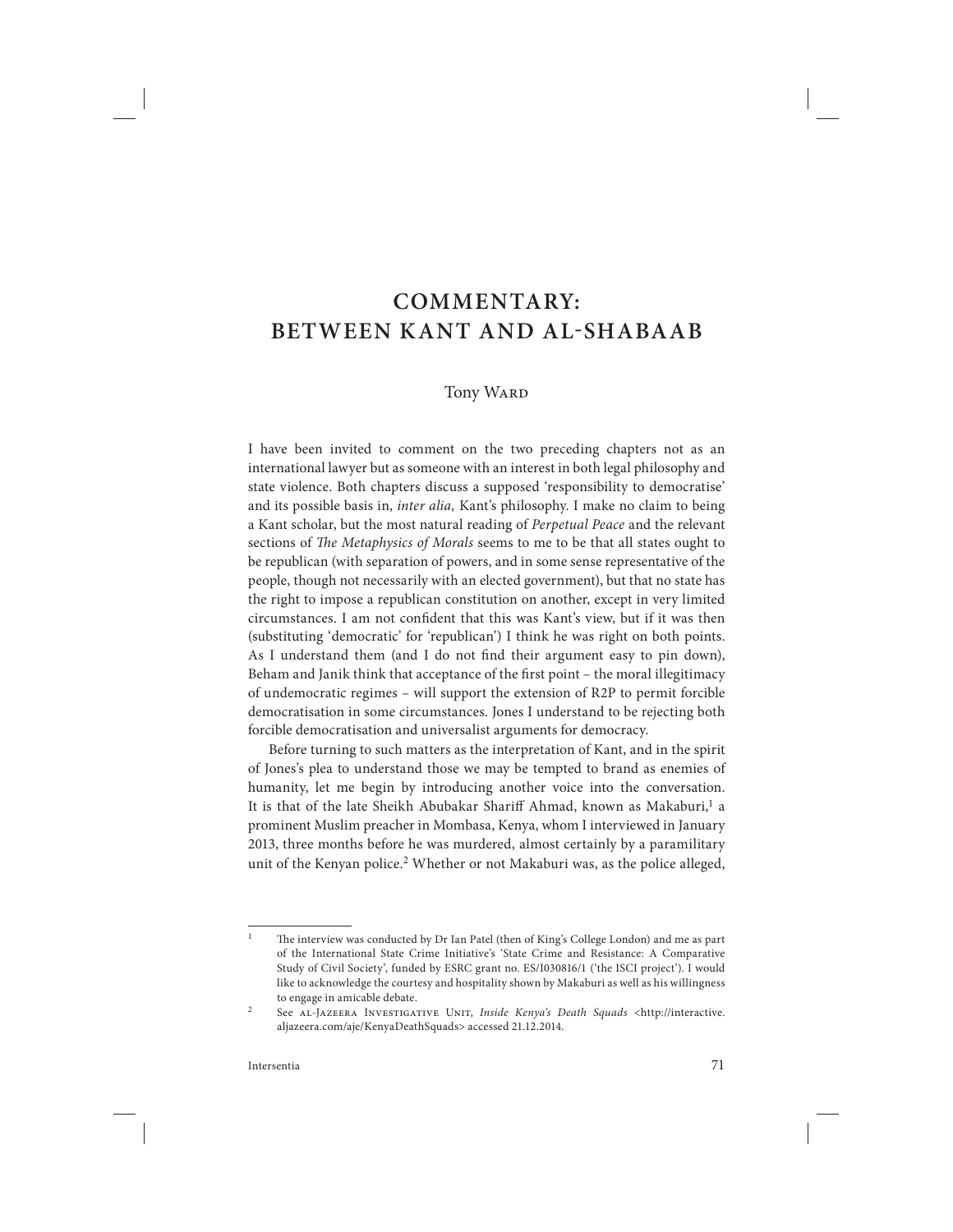## **COMMENTARY: BETWEEN KANT AND AL-SHABAAB**

#### **Tony WARD**

I have been invited to comment on the two preceding chapters not as an international lawyer but as someone with an interest in both legal philosophy and state violence. Both chapters discuss a supposed 'responsibility to democratise' and its possible basis in, inter alia, Kant's philosophy. I make no claim to being a Kant scholar, but the most natural reading of Perpetual Peace and the relevant sections of The Metaphysics of Morals seems to me to be that all states ought to be republican (with separation of powers, and in some sense representative of the people, though not necessarily with an elected government), but that no state has the right to impose a republican constitution on another, except in very limited circumstances. I am not confident that this was Kant's view, but if it was then (substituting 'democratic' for 'republican') I think he was right on both points. As I understand them (and I do not find their argument easy to pin down), Beham and Janik think that acceptance of the first point - the moral illegitimacy of undemocratic regimes – will support the extension of R2P to permit forcible democratisation in some circumstances. Jones I understand to be rejecting both forcible democratisation and universalist arguments for democracy.

Before turning to such matters as the interpretation of Kant, and in the spirit of Jones's plea to understand those we may be tempted to brand as enemies of humanity, let me begin by introducing another voice into the conversation. It is that of the late Sheikh Abubakar Shariff Ahmad, known as Makaburi,<sup>1</sup> a prominent Muslim preacher in Mombasa, Kenya, whom I interviewed in January 2013, three months before he was murdered, almost certainly by a paramilitary unit of the Kenyan police.<sup>2</sup> Whether or not Makaburi was, as the police alleged,

<sup>&</sup>lt;sup>1</sup> The interview was conducted by Dr Ian Patel (then of King's College London) and me as part of the International State Crime Initiative's 'State Crime and Resistance: A Comparative Study of Civil Society', funded by ESRC grant no. ES/I030816/1 ('the ISCI project'). I would like to acknowledge the courtesy and hospitality shown by Makaburi as well as his willingness to engage in amicable debate.

<sup>&</sup>lt;sup>2</sup> See AL-JAZEERA INVESTIGATIVE UNIT, *Inside Kenya's Death Squads* <http://interactive. aljazeera.com/aje/KenyaDeathSquads> accessed 21.12.2014.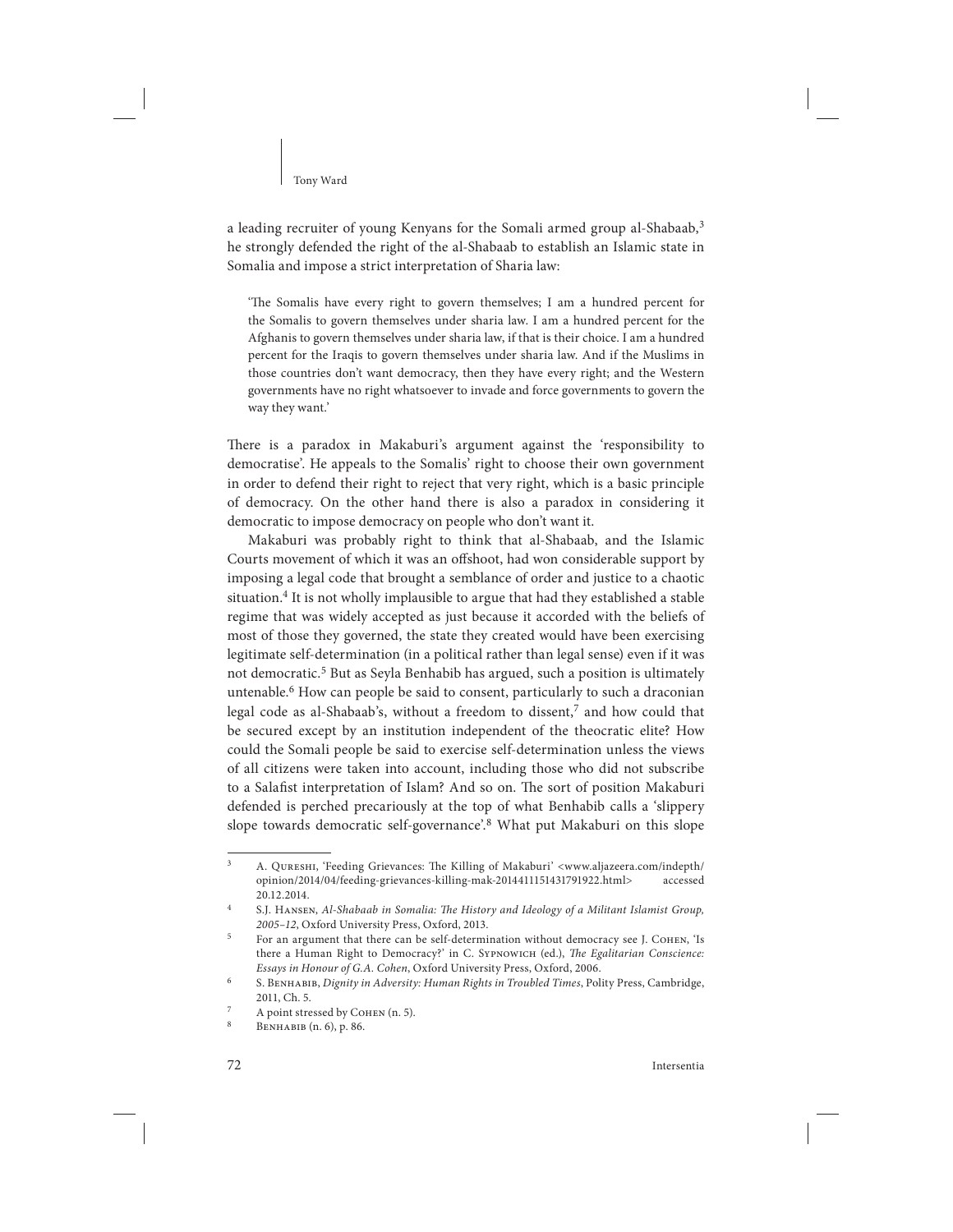#### Tony Ward

a leading recruiter of young Kenyans for the Somali armed group al-Shabaab,<sup>3</sup> he strongly defended the right of the al-Shabaab to establish an Islamic state in Somalia and impose a strict interpretation of Sharia law:

'The Somalis have every right to govern themselves; I am a hundred percent for the Somalis to govern themselves under sharia law. I am a hundred percent for the Afghanis to govern themselves under sharia law, if that is their choice. I am a hundred percent for the Iraqis to govern themselves under sharia law. And if the Muslims in those countries don't want democracy, then they have every right; and the Western governments have no right whatsoever to invade and force governments to govern the way they want.'

There is a paradox in Makaburi's argument against the 'responsibility to democratise'. He appeals to the Somalis' right to choose their own government in order to defend their right to reject that very right, which is a basic principle of democracy . On the other hand there is also a paradox in considering it democratic to impose democracy on people who don't want it.

Makaburi was probably right to think that al-Shabaab, and the Islamic Courts movement of which it was an offshoot, had won considerable support by imposing a legal code that brought a semblance of order and justice to a chaotic situation.<sup>4</sup> It is not wholly implausible to argue that had they established a stable regime that was widely accepted as just because it accorded with the beliefs of most of those they governed, the state they created would have been exercising legitimate self-determination (in a political rather than legal sense) even if it was not democratic.<sup>5</sup> But as Seyla Benhabib has argued, such a position is ultimately untenable.<sup>6</sup> How can people be said to consent, particularly to such a draconian legal code as al-Shabaab's, without a freedom to dissent,<sup>7</sup> and how could that be secured except by an institution independent of the theocratic elite? How could the Somali people be said to exercise self-determination unless the views of all citizens were taken into account, including those who did not subscribe to a Salafist interpretation of Islam? And so on. The sort of position Makaburi defended is perched precariously at the top of what Benhabib calls a 'slippery slope towards democratic self-governance'.<sup>8</sup> What put Makaburi on this slope

A. QURESHI, 'Feeding Grievances: The Killing of Makaburi' <www.aljazeera.com/indepth/ opinion/2014/04/feeding-grievances-killing-mak-2014411151431791922.html> accessed 20.12.2014.

S.J. HANSEN, Al-Shabaab in Somalia: The History and Ideology of a Militant Islamist Group, 2005–12, Oxford University Press, Oxford, 2013.

<sup>5</sup>For an argument that there can be self-determination without democracy see J. Cohen, 'Is there a Human Right to Democracy?' in C. SYPNOWICH (ed.), The Egalitarian Conscience: Essays in Honour of G.A. Cohen, Oxford University Press, Oxford, 2006.

S. BENHABIB, Dignity in Adversity: Human Rights in Troubled Times, Polity Press, Cambridge, 2011, Ch. 5.

A point stressed by COHEN (n. 5).

<sup>8</sup> Benhabib (n. 6), p. 86.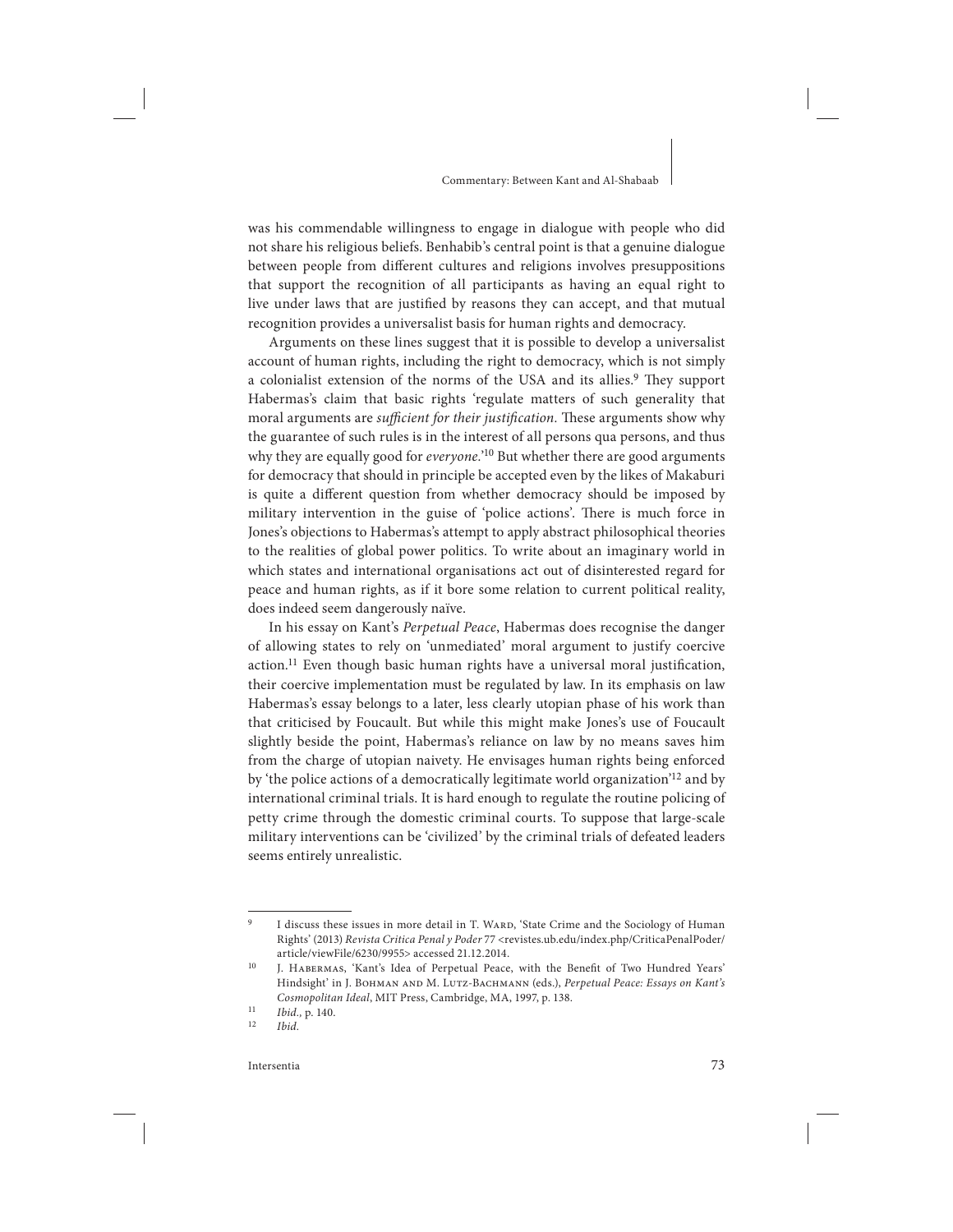#### Commentary: Between Kant and Al-Shabaab

was his commendable willingness to engage in dialogue with people who did not share his religious beliefs. Benhabib's central point is that a genuine dialogue between people from different cultures and religions involves presuppositions that support the recognition of all participants as having an equal right to live under laws that are justified by reasons they can accept, and that mutual recognition provides a universalist basis for human rights and democracy.

Arguments on these lines suggest that it is possible to develop a universalist account of human rights, including the right to democracy, which is not simply a colonialist extension of the norms of the USA and its allies.<sup>9</sup> They support Habermas's claim that basic rights 'regulate matters of such generality that moral arguments are sufficient for their justification. These arguments show why the guarantee of such rules is in the interest of all persons qua persons, and thus why they are equally good for everyone.'<sup>10</sup> But whether there are good arguments for democracy that should in principle be accepted even by the likes of Makaburi is quite a different question from whether democracy should be imposed by military intervention in the guise of 'police actions'. There is much force in Jones's objections to Habermas's attempt to apply abstract philosophical theories to the realities of global power politics. To write about an imaginary world in which states and international organisations act out of disinterested regard for peace and human rights, as if it bore some relation to current political reality, does indeed seem dangerously naïve.

In his essay on Kant's *Perpetual Peace*, Habermas does recognise the danger of allowing states to rely on 'unmediated' moral argument to justify coercive  $\arctan$ .<sup>11</sup> Even though basic human rights have a universal moral justification, their coercive implementation must be regulated by law. In its emphasis on law Habermas's essay belongs to a later, less clearly utopian phase of his work than that criticised by Foucault. But while this might make Jones's use of Foucault slightly beside the point, Habermas's reliance on law by no means saves him from the charge of utopian naivety. He envisages human rights being enforced by 'the police actions of a democratically legitimate world organization'12 and by international criminal trials. It is hard enough to regulate the routine policing of petty crime through the domestic criminal courts. To suppose that large-scale military interventions can be 'civilized' by the criminal trials of defeated leaders seems entirely unrealistic.

<sup>&</sup>lt;sup>9</sup> I discuss these issues in more detail in T. WARD, 'State Crime and the Sociology of Human Rights' (2013) Revista Critica Penal y Poder 77 <revistes.ub.edu/index.php/CriticaPenalPoder/ article/viewFile/6230/9955> accessed 21.12.2014.

<sup>&</sup>lt;sup>10</sup> J. HABERMAS, 'Kant's Idea of Perpetual Peace, with the Benefit of Two Hundred Years' Hindsight' in J. Вонман анр М. Lutz-Bacнманн (eds.), Perpetual Peace: Essays on Kant's Cosmopolitan Ideal, MIT Press, Cambridge, MA, 1997, p. 138.

 $11$  Ibid., p. 140.

Ibid.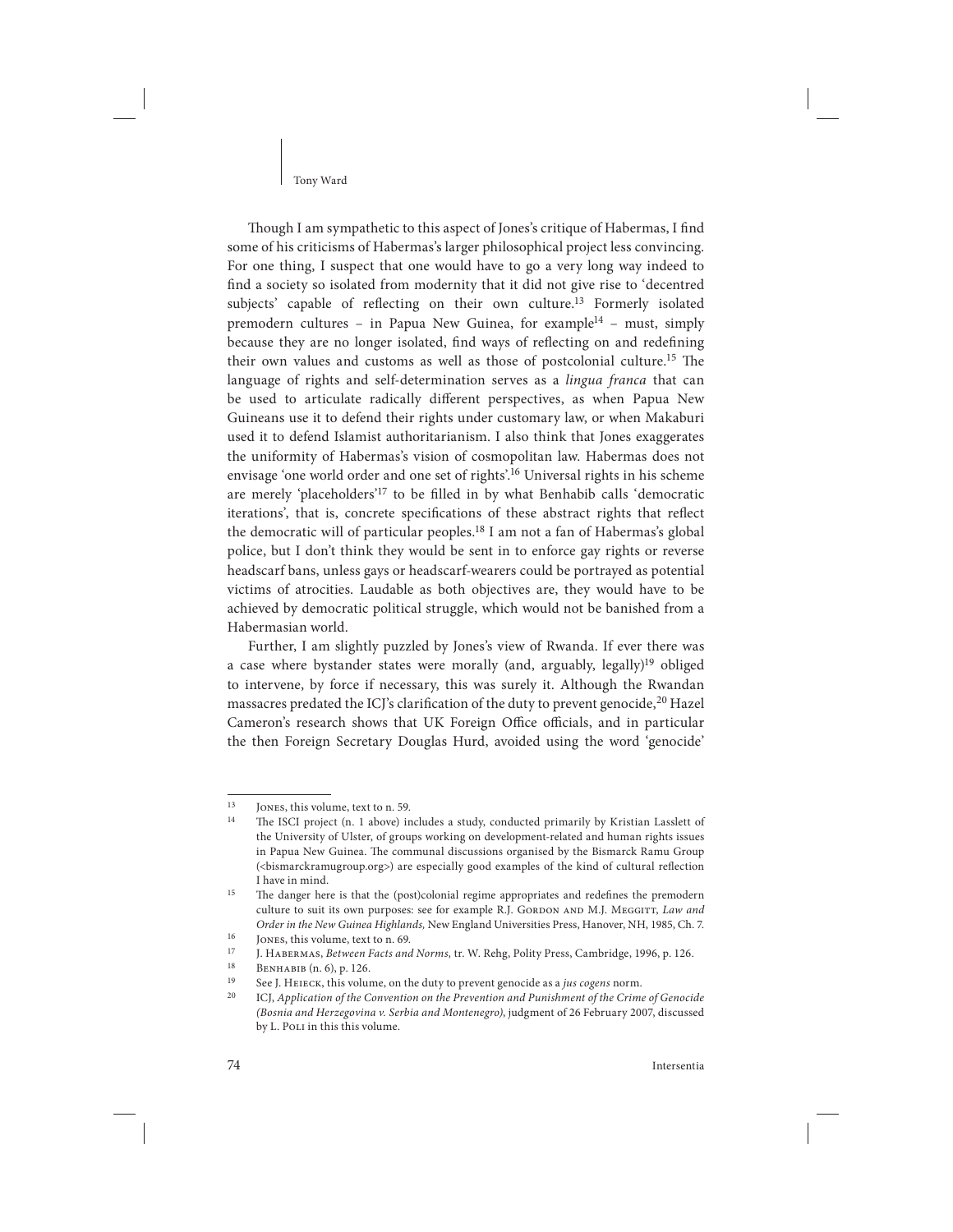#### Tony Ward

Though I am sympathetic to this aspect of Jones's critique of Habermas, I find some of his criticisms of Habermas's larger philosophical project less convincing. For one thing, I suspect that one would have to go a very long way indeed to find a society so isolated from modernity that it did not give rise to 'decentred subjects' capable of reflecting on their own culture.<sup>13</sup> Formerly isolated premodern cultures - in Papua New Guinea, for example<sup>14</sup> - must, simply because they are no longer isolated, find ways of reflecting on and redefining their own values and customs as well as those of postcolonial culture.<sup>15</sup> The language of rights and self-determination serves as a lingua franca that can be used to articulate radically different perspectives, as when Papua New Guineans use it to defend their rights under customary law, or when Makaburi used it to defend Islamist authoritarianism. I also think that Jones exaggerates the uniformity of Habermas's vision of cosmopolitan law. Habermas does not envisage 'one world order and one set of rights'.<sup>16</sup> Universal rights in his scheme are merely 'placeholders'<sup>17</sup> to be filled in by what Benhabib calls 'democratic iterations', that is, concrete specifications of these abstract rights that reflect the democratic will of particular peoples.<sup>18</sup> I am not a fan of Habermas's global police, but I don't think they would be sent in to enforce gay rights or reverse headscarf bans, unless gays or headscarf-wearers could be portrayed as potential victims of atrocities. Laudable as both objectives are, they would have to be achieved by democratic political struggle, which would not be banished from a Habermasian world.

Further, I am slightly puzzled by Jones's view of Rwanda. If ever there was a case where bystander states were morally (and, arguably, legally)<sup>19</sup> obliged to intervene, by force if necessary, this was surely it. Although the Rwandan massacres predated the ICJ's clarification of the duty to prevent genocide,<sup>20</sup> Hazel Cameron's research shows that UK Foreign Office officials, and in particular the then Foreign Secretary Douglas Hurd, avoided using the word 'genocide'

<sup>&</sup>lt;sup>13</sup> JONES, this volume, text to n. 59.<br><sup>14</sup> The ISCI project (n 1 above) in

The ISCI project (n. 1 above) includes a study, conducted primarily by Kristian Lasslett of the University of Ulster, of groups working on development-related and human rights issues in Papua New Guinea. The communal discussions organised by the Bismarck Ramu Group (<bismarckramugroup.org>) are especially good examples of the kind of cultural reflection I have in mind.

<sup>&</sup>lt;sup>15</sup> The danger here is that the (post)colonial regime appropriates and redefines the premodern culture to suit its own purposes: see for example R.J. GORDON AND M.J. MEGGITT, Law and Order in the New Guinea Highlands, New England Universities Press, Hanover, NH, 1985, Ch. 7.

<sup>&</sup>lt;sup>16</sup> JONES, this volume, text to n. 69.<br><sup>17</sup> J HARENAS, *Retween Easts and* 

<sup>&</sup>lt;sup>17</sup> J. HABERMAS, *Between Facts and Norms*, tr. W. Rehg, Polity Press, Cambridge, 1996, p. 126.<br><sup>18</sup> Prysian Inc. 6) p. 126.

<sup>&</sup>lt;sup>18</sup> BENHABIB  $(n, 6)$ , p. 126.<br><sup>19</sup> See LHELECK this volume

<sup>&</sup>lt;sup>19</sup>See J. HEIECK, this volume, on the duty to prevent genocide as a *jus cogens* norm.

ICJ, Application of the Convention on the Prevention and Punishment of the Crime of Genocide (Bosnia and Herzegovina v. Serbia and Montenegro), judgment of 26 February 2007, discussed by L. Poli in this this volume.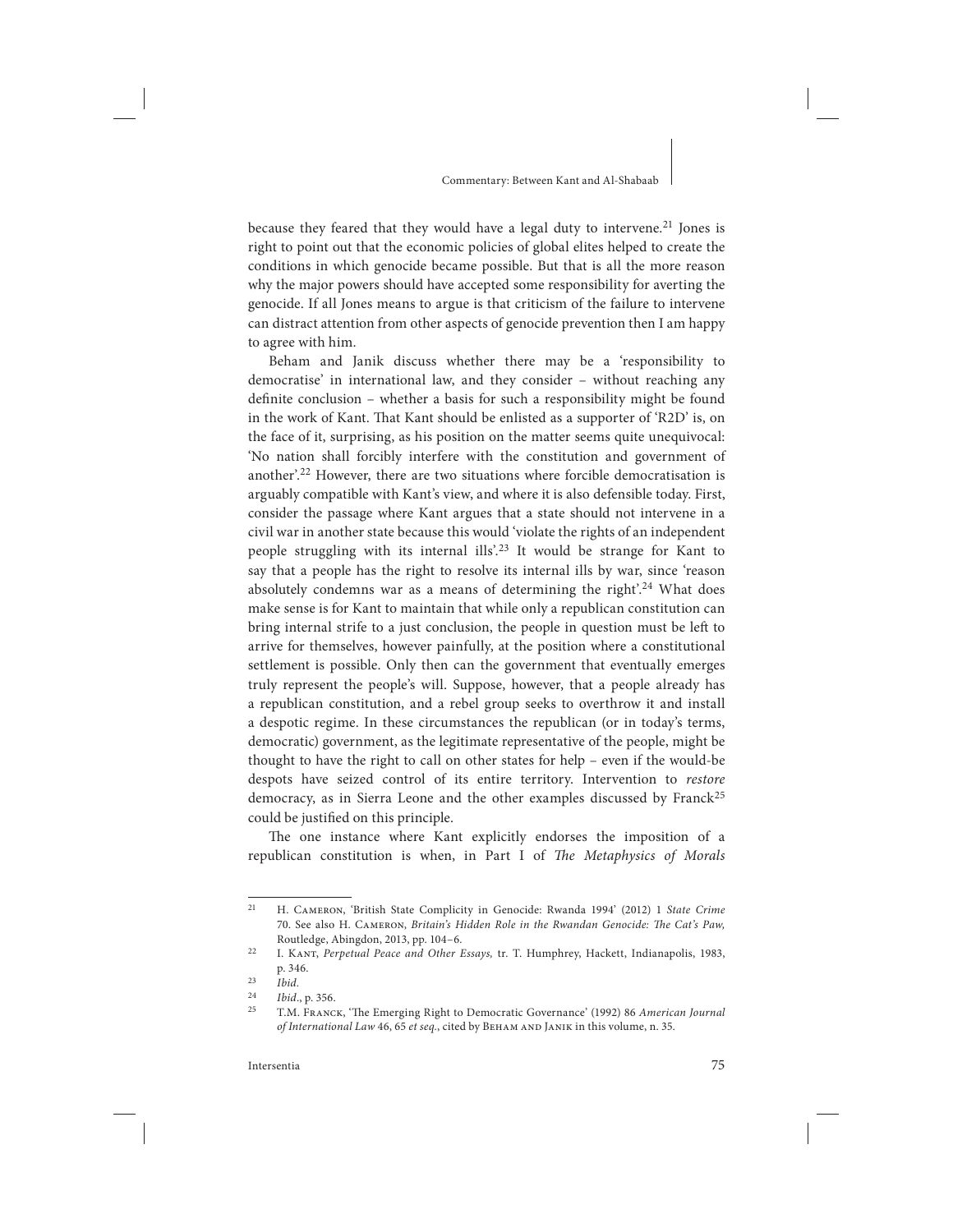#### Commentary: Between Kant and Al-Shabaab

because they feared that they would have a legal duty to intervene.<sup>21</sup> Jones is right to point out that the economic policies of global elites helped to create the conditions in which genocide became possible. But that is all the more reason why the major powers should have accepted some responsibility for averting the genocide. If all Jones means to argue is that criticism of the failure to intervene can distract attention from other aspects of genocide prevention then I am happy to agree with him.

Beham and Janik discuss whether there may be a 'responsibility to democratise' in international law, and they consider – without reaching any definite conclusion – whether a basis for such a responsibility might be found in the work of Kant. That Kant should be enlisted as a supporter of 'R2D' is, on the face of it, surprising, as his position on the matter seems quite unequivocal: 'No nation shall forcibly interfere with the constitution and government of another'.<sup>22</sup> However, there are two situations where forcible democratisation is arguably compatible with Kant's view, and where it is also defensible today. First, consider the passage where Kant argues that a state should not intervene in a civil war in another state because this would 'violate the rights of an independent people struggling with its internal ills'.23 It would be strange for Kant to say that a people has the right to resolve its internal ills by war, since 'reason absolutely condemns war as a means of determining the right'.<sup>24</sup> What does make sense is for Kant to maintain that while only a republican constitution can bring internal strife to a just conclusion, the people in question must be let to arrive for themselves, however painfully, at the position where a constitutional settlement is possible. Only then can the government that eventually emerges truly represent the people's will. Suppose, however, that a people already has a republican constitution, and a rebel group seeks to overthrow it and install a despotic regime. In these circumstances the republican (or in today's terms, democratic) government, as the legitimate representative of the people, might be thought to have the right to call on other states for help – even if the would-be despots have seized control of its entire territory. Intervention to restore democracy, as in Sierra Leone and the other examples discussed by Franck<sup>25</sup> could be justified on this principle.

The one instance where Kant explicitly endorses the imposition of a republican constitution is when, in Part I of The Metaphysics of Morals

<sup>&</sup>lt;sup>21</sup> H. CAMERON, 'British State Complicity in Genocide: Rwanda 1994' (2012) 1 State Crime 70. See also H. CAMERON, Britain's Hidden Role in the Rwandan Genocide: The Cat's Paw, Routledge, Abingdon, 2013, pp. 104–6.

<sup>&</sup>lt;sup>22</sup> I. KANT, Perpetual Peace and Other Essays, tr. T. Humphrey, Hackett, Indianapolis, 1983, p. 346.

 $\frac{23}{16}$   $\frac{1}{16}$ 

 $\frac{24}{25}$  Ibid., p. 356.

T.M. FRANCK, 'The Emerging Right to Democratic Governance' (1992) 86 American Journal of International Law 46, 65 et seq., cited by BEHAM AND JANIK in this volume, n. 35.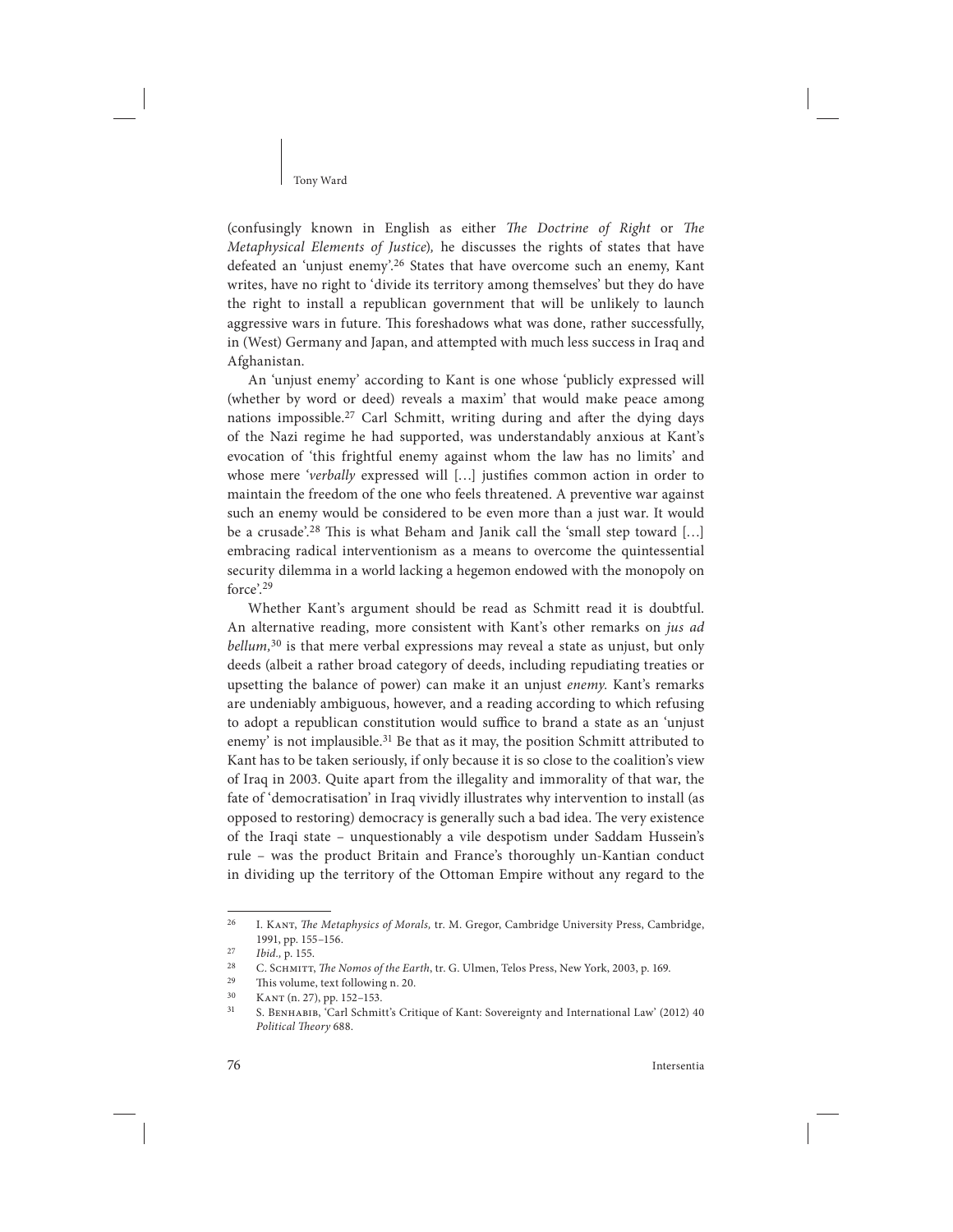#### Tony Ward

(confusingly known in English as either The Doctrine of Right or The Metaphysical Elements of Justice), he discusses the rights of states that have defeated an 'unjust enemy'.26 States that have overcome such an enemy, Kant writes, have no right to 'divide its territory among themselves' but they do have the right to install a republican government that will be unlikely to launch aggressive wars in future. This foreshadows what was done, rather successfully, in (West) Germany and Japan, and attempted with much less success in Iraq and Afghanistan.

An 'unjust enemy' according to Kant is one whose 'publicly expressed will (whether by word or deed) reveals a maxim' that would make peace among nations impossible.<sup>27</sup> Carl Schmitt, writing during and after the dying days of the Nazi regime he had supported, was understandably anxious at Kant's evocation of 'this frightful enemy against whom the law has no limits' and whose mere 'verbally expressed will [...] justifies common action in order to maintain the freedom of the one who feels threatened. A preventive war against such an enemy would be considered to be even more than a just war. It would be a crusade'.<sup>28</sup> This is what Beham and Janik call the 'small step toward [...] embracing radical interventionism as a means to overcome the quintessential security dilemma in a world lacking a hegemon endowed with the monopoly on force'.<sup>29</sup>

Whether Kant's argument should be read as Schmitt read it is doubtful. An alternative reading, more consistent with Kant's other remarks on *jus ad*  $bellum, <sup>30</sup>$  is that mere verbal expressions may reveal a state as unjust, but only deeds (albeit a rather broad category of deeds, including repudiating treaties or upsetting the balance of power) can make it an unjust enemy. Kant's remarks are undeniably ambiguous, however, and a reading according to which refusing to adopt a republican constitution would suffice to brand a state as an 'unjust enemy' is not implausible.<sup>31</sup> Be that as it may, the position Schmitt attributed to Kant has to be taken seriously, if only because it is so close to the coalition's view of Iraq in 2003. Quite apart from the illegality and immorality of that war, the fate of 'democratisation' in Iraq vividly illustrates why intervention to install (as opposed to restoring) democracy is generally such a bad idea. The very existence of the Iraqi state – unquestionably a vile despotism under Saddam Hussein's rule – was the product Britain and France's thoroughly un-Kantian conduct in dividing up the territory of the Ottoman Empire without any regard to the

<sup>&</sup>lt;sup>26</sup> I. KANT, The Metaphysics of Morals, tr. M. Gregor, Cambridge University Press, Cambridge, 1991, pp. 155–156.

 $\frac{27}{28}$  Ibid., p. 155.

<sup>&</sup>lt;sup>28</sup>C. SCHMITT, *The Nomos of the Earth*, tr. G. Ulmen, Telos Press, New York, 2003, p. 169.<br><sup>29</sup>This volume, taxt following p. 20.

<sup>&</sup>lt;sup>29</sup> This volume, text following n. 20.<br> $V_{\text{A}} V_{\text{B}} (p, 27)$  pp. 152, 152

 $\frac{30}{31}$  KANT (n. 27), pp. 152–153.

S. BENHABIB, 'Carl Schmitt's Critique of Kant: Sovereignty and International Law' (2012) 40 Political Theory 688.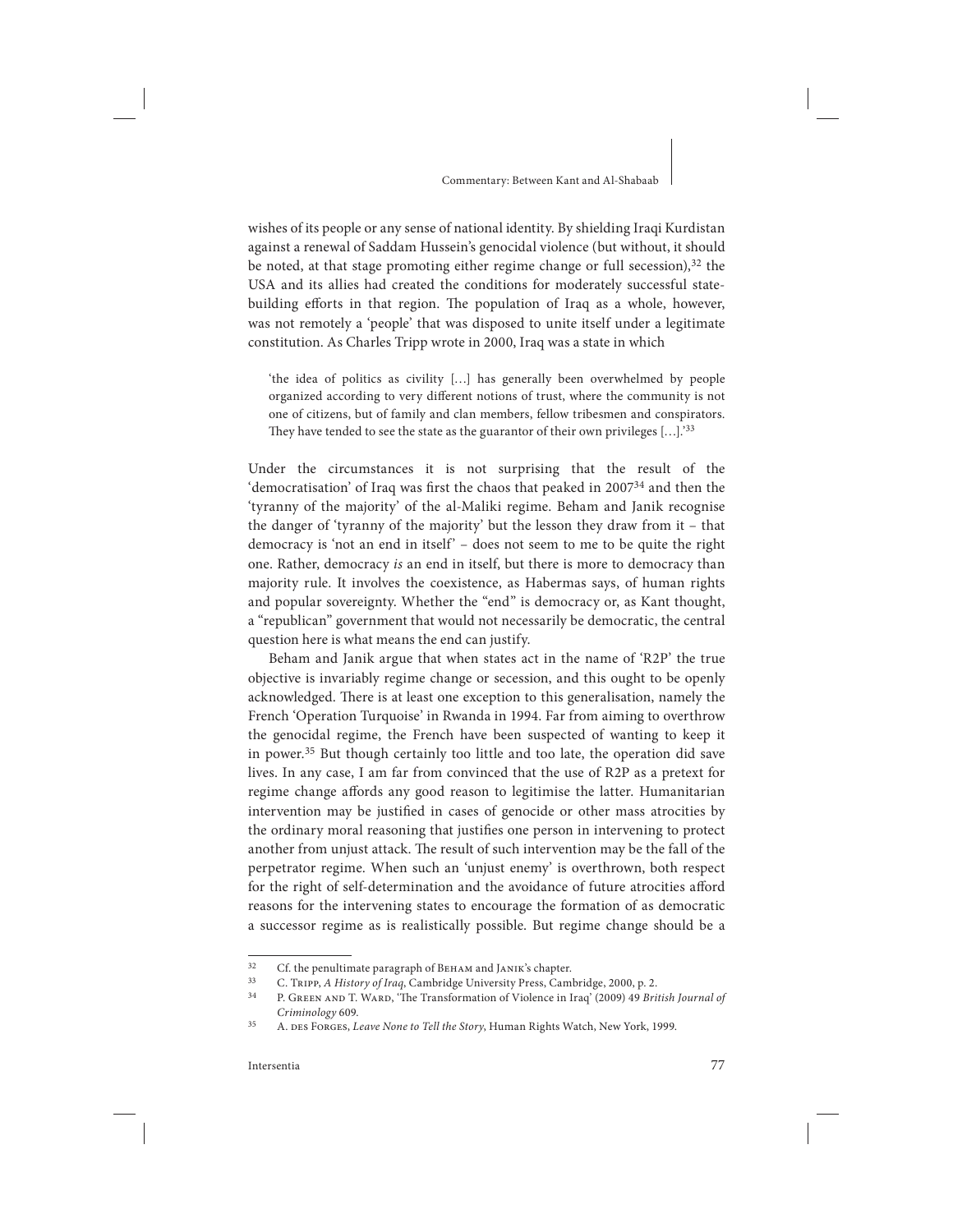#### Commentary: Between Kant and Al-Shabaab

wishes of its people or any sense of national identity. By shielding Iraqi Kurdistan against a renewal of Saddam Hussein's genocidal violence (but without, it should be noted, at that stage promoting either regime change or full secession), $32$  the USA and its allies had created the conditions for moderately successful statebuilding efforts in that region. The population of Iraq as a whole, however, was not remotely a 'people' that was disposed to unite itself under a legitimate constitution. As Charles Tripp wrote in 2000, Iraq was a state in which

'the idea of politics as civility […] has generally been overwhelmed by people organized according to very different notions of trust, where the community is not one of citizens, but of family and clan members, fellow tribesmen and conspirators. They have tended to see the state as the guarantor of their own privileges  $[...]$ .<sup>33</sup>

Under the circumstances it is not surprising that the result of the 'democratisation' of Iraq was first the chaos that peaked in  $2007<sup>34</sup>$  and then the 'tyranny of the majority' of the al-Maliki regime. Beham and Janik recognise the danger of 'tyranny of the majority' but the lesson they draw from it – that democracy is 'not an end in itself' – does not seem to me to be quite the right one. Rather, democracy is an end in itself, but there is more to democracy than majority rule. It involves the coexistence, as Habermas says, of human rights and popular sovereignty. Whether the "end" is democracy or, as Kant thought, a "republican" government that would not necessarily be democratic, the central question here is what means the end can justify.

Beham and Janik argue that when states act in the name of 'R2P' the true objective is invariably regime change or secession, and this ought to be openly acknowledged. There is at least one exception to this generalisation, namely the French 'Operation Turquoise' in Rwanda in 1994. Far from aiming to overthrow the genocidal regime, the French have been suspected of wanting to keep it in power.<sup>35</sup> But though certainly too little and too late, the operation did save lives. In any case, I am far from convinced that the use of R2P as a pretext for regime change affords any good reason to legitimise the latter. Humanitarian intervention may be justified in cases of genocide or other mass atrocities by the ordinary moral reasoning that justifies one person in intervening to protect another from unjust attack. The result of such intervention may be the fall of the perpetrator regime. When such an 'unjust enemy' is overthrown, both respect for the right of self-determination and the avoidance of future atrocities afford reasons for the intervening states to encourage the formation of as democratic a successor regime as is realistically possible. But regime change should be a

<sup>&</sup>lt;sup>32</sup> Cf. the penultimate paragraph of BEHAM and JANIK's chapter.<br> $\frac{33}{2}$ C. Thunn A. History of Iraq. Combridge University Press. Com

<sup>&</sup>lt;sup>33</sup> C. Tripp, A History of Iraq, Cambridge University Press, Cambridge, 2000, p. 2.<br><sup>34</sup> D. Canny 110 T. W. P. <sup>4</sup>The Transformation of Vielense in Iraq, (2000, 40 Pric

P. GREEN AND T. WARD, 'The Transformation of Violence in Iraq' (2009) 49 British Journal of Criminology 609.

<sup>&</sup>lt;sup>35</sup> A. DES FORGES, *Leave None to Tell the Story*, Human Rights Watch, New York, 1999.